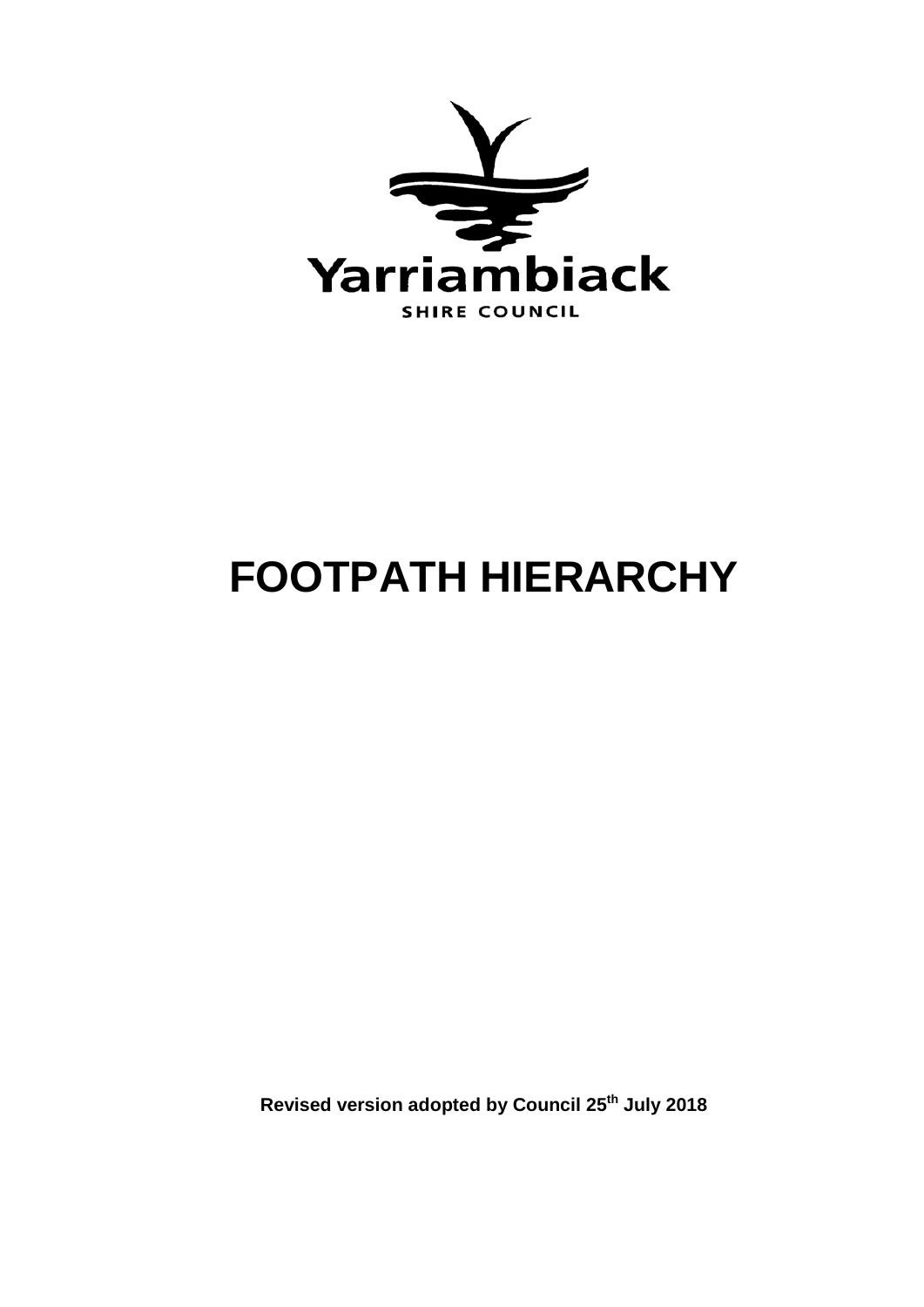

# **FOOTPATH HIERARCHY**

**Revised version adopted by Council 25th July 2018**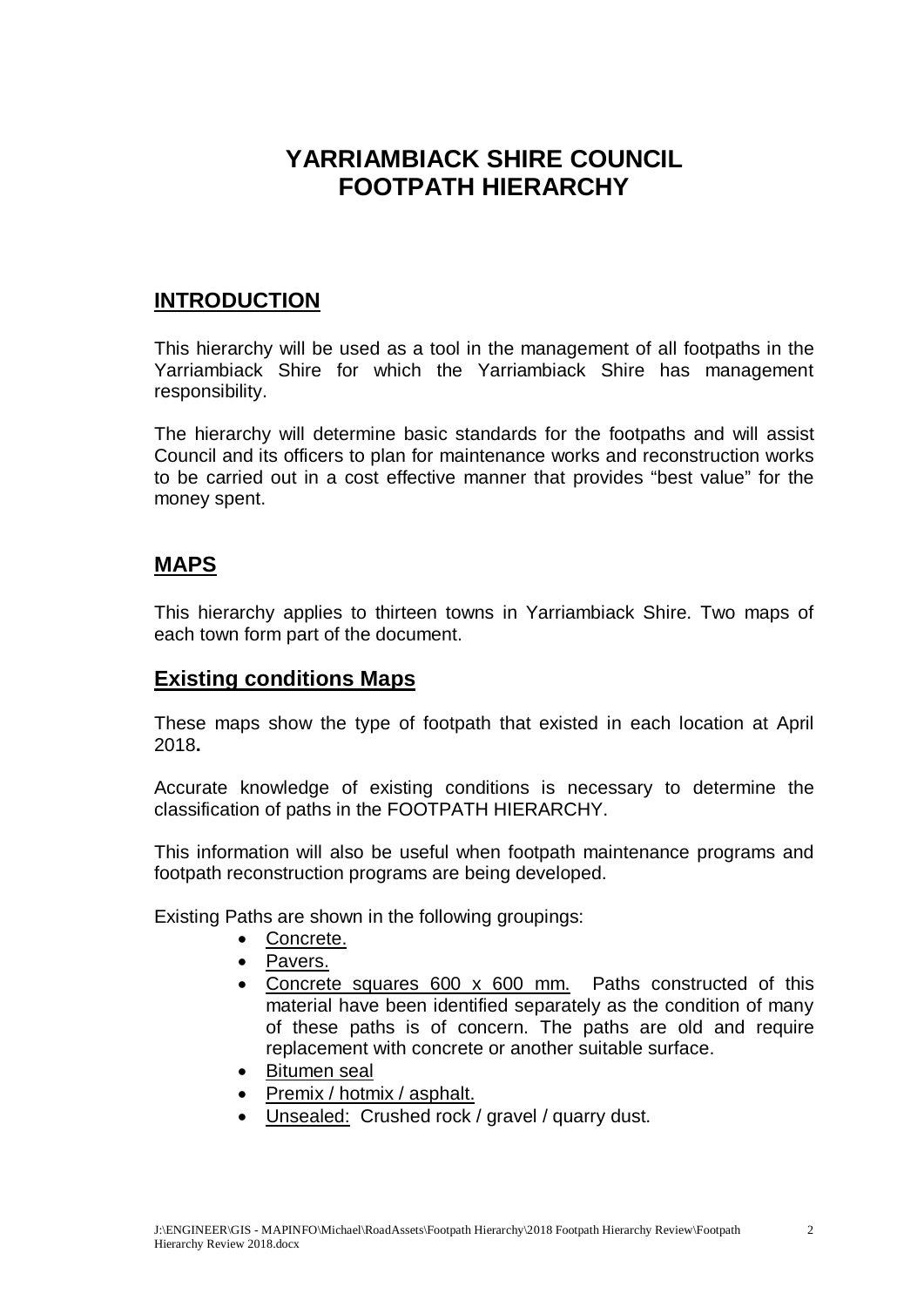# **YARRIAMBIACK SHIRE COUNCIL FOOTPATH HIERARCHY**

# **INTRODUCTION**

This hierarchy will be used as a tool in the management of all footpaths in the Yarriambiack Shire for which the Yarriambiack Shire has management responsibility.

The hierarchy will determine basic standards for the footpaths and will assist Council and its officers to plan for maintenance works and reconstruction works to be carried out in a cost effective manner that provides "best value" for the money spent.

# **MAPS**

This hierarchy applies to thirteen towns in Yarriambiack Shire. Two maps of each town form part of the document.

# **Existing conditions Maps**

These maps show the type of footpath that existed in each location at April 2018**.**

Accurate knowledge of existing conditions is necessary to determine the classification of paths in the FOOTPATH HIERARCHY.

This information will also be useful when footpath maintenance programs and footpath reconstruction programs are being developed.

Existing Paths are shown in the following groupings:

- Concrete.
- Pavers.
- Concrete squares 600 x 600 mm. Paths constructed of this material have been identified separately as the condition of many of these paths is of concern. The paths are old and require replacement with concrete or another suitable surface.
- Bitumen seal
- Premix / hotmix / asphalt.
- Unsealed: Crushed rock / gravel / quarry dust.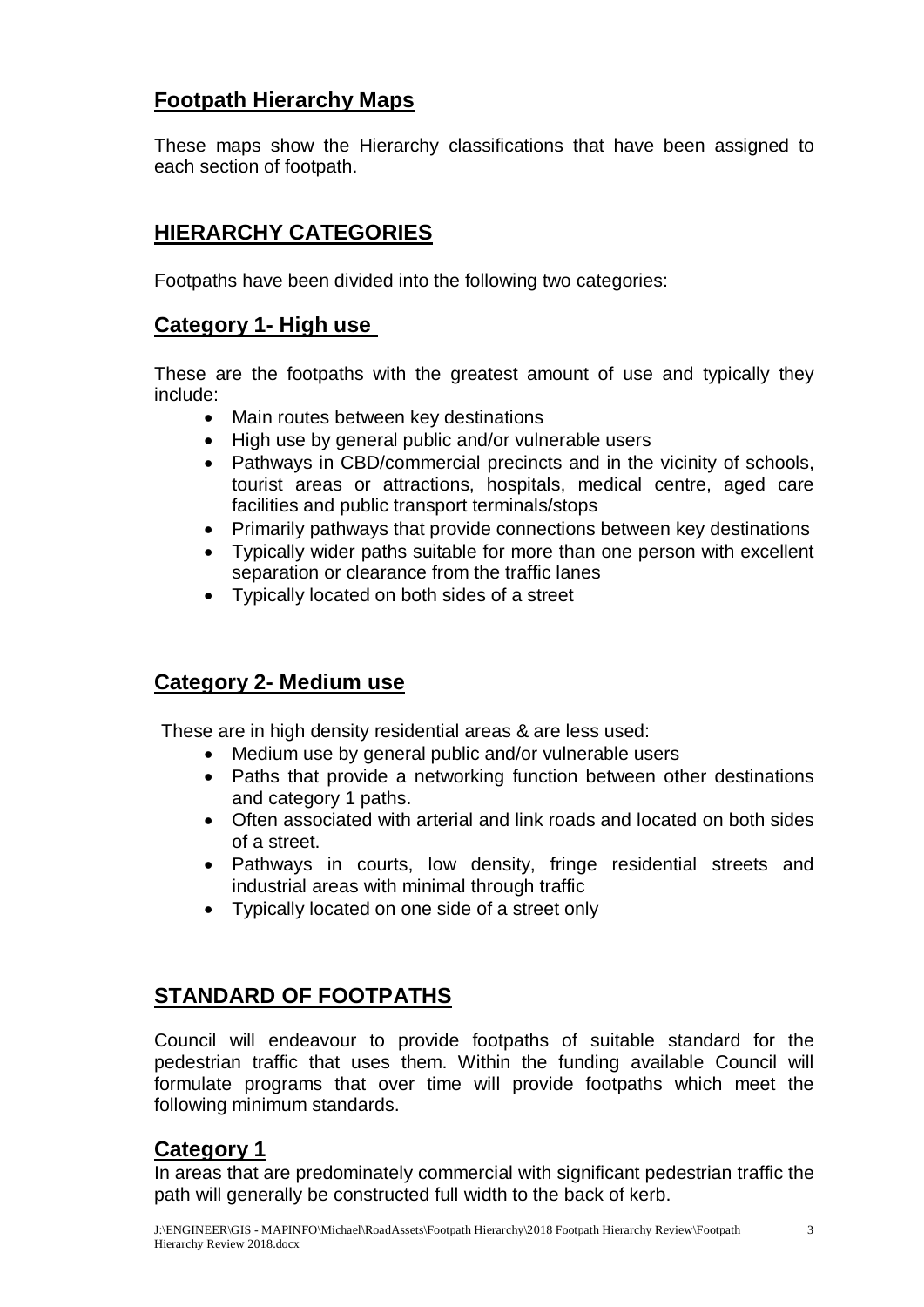# **Footpath Hierarchy Maps**

These maps show the Hierarchy classifications that have been assigned to each section of footpath.

# **HIERARCHY CATEGORIES**

Footpaths have been divided into the following two categories:

# **Category 1- High use**

These are the footpaths with the greatest amount of use and typically they include:

- Main routes between key destinations
- High use by general public and/or vulnerable users
- Pathways in CBD/commercial precincts and in the vicinity of schools, tourist areas or attractions, hospitals, medical centre, aged care facilities and public transport terminals/stops
- Primarily pathways that provide connections between key destinations
- Typically wider paths suitable for more than one person with excellent separation or clearance from the traffic lanes
- Typically located on both sides of a street

# **Category 2- Medium use**

These are in high density residential areas & are less used:

- Medium use by general public and/or vulnerable users
- Paths that provide a networking function between other destinations and category 1 paths.
- Often associated with arterial and link roads and located on both sides of a street.
- Pathways in courts, low density, fringe residential streets and industrial areas with minimal through traffic
- Typically located on one side of a street only

# **STANDARD OF FOOTPATHS**

Council will endeavour to provide footpaths of suitable standard for the pedestrian traffic that uses them. Within the funding available Council will formulate programs that over time will provide footpaths which meet the following minimum standards.

# **Category 1**

In areas that are predominately commercial with significant pedestrian traffic the path will generally be constructed full width to the back of kerb.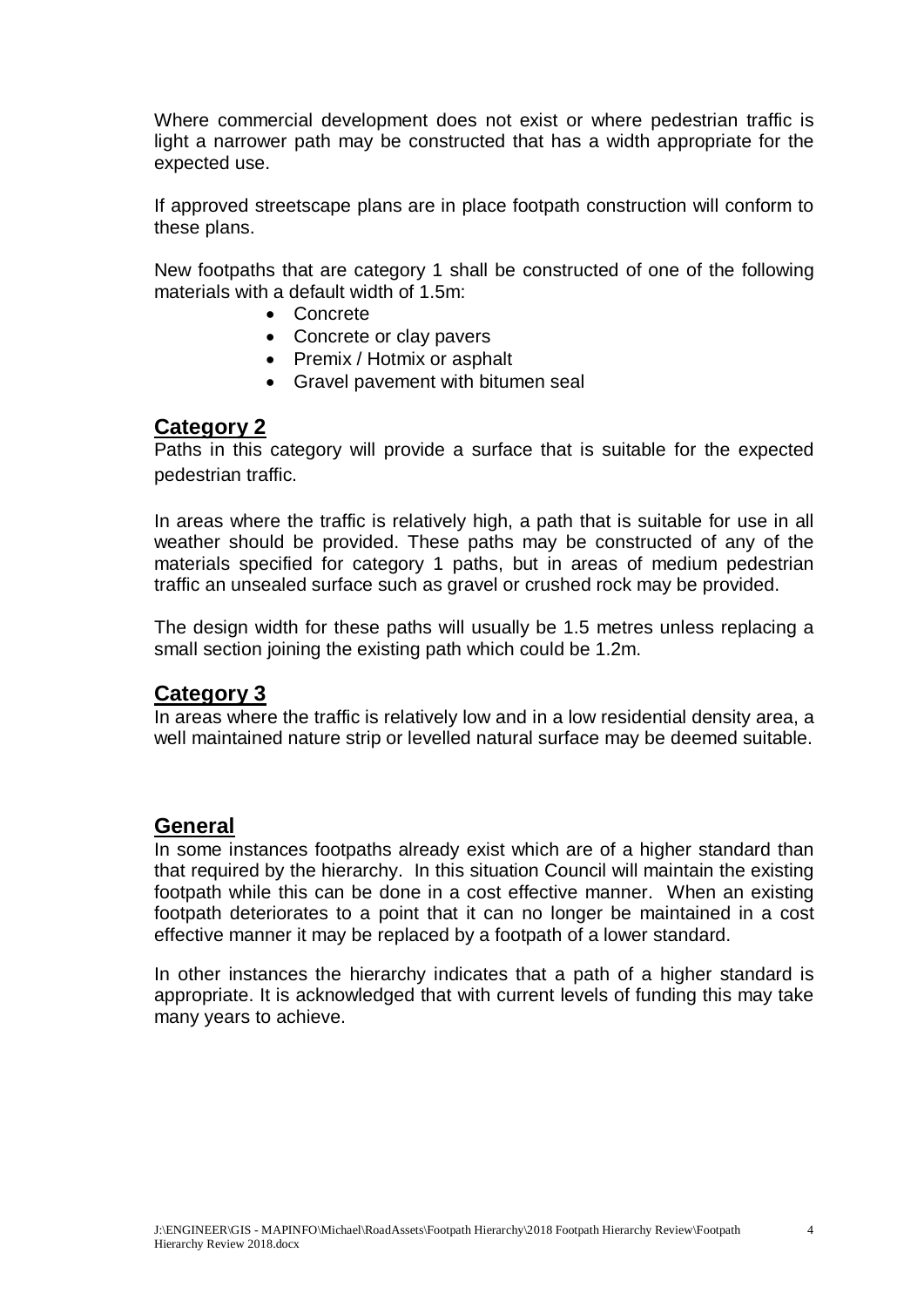Where commercial development does not exist or where pedestrian traffic is light a narrower path may be constructed that has a width appropriate for the expected use.

If approved streetscape plans are in place footpath construction will conform to these plans.

New footpaths that are category 1 shall be constructed of one of the following materials with a default width of 1.5m:

- Concrete
- Concrete or clay pavers
- Premix / Hotmix or asphalt
- Gravel pavement with bitumen seal

#### **Category 2**

Paths in this category will provide a surface that is suitable for the expected pedestrian traffic.

In areas where the traffic is relatively high, a path that is suitable for use in all weather should be provided. These paths may be constructed of any of the materials specified for category 1 paths, but in areas of medium pedestrian traffic an unsealed surface such as gravel or crushed rock may be provided.

The design width for these paths will usually be 1.5 metres unless replacing a small section joining the existing path which could be 1.2m.

#### **Category 3**

In areas where the traffic is relatively low and in a low residential density area, a well maintained nature strip or levelled natural surface may be deemed suitable.

#### **General**

In some instances footpaths already exist which are of a higher standard than that required by the hierarchy. In this situation Council will maintain the existing footpath while this can be done in a cost effective manner. When an existing footpath deteriorates to a point that it can no longer be maintained in a cost effective manner it may be replaced by a footpath of a lower standard.

In other instances the hierarchy indicates that a path of a higher standard is appropriate. It is acknowledged that with current levels of funding this may take many years to achieve.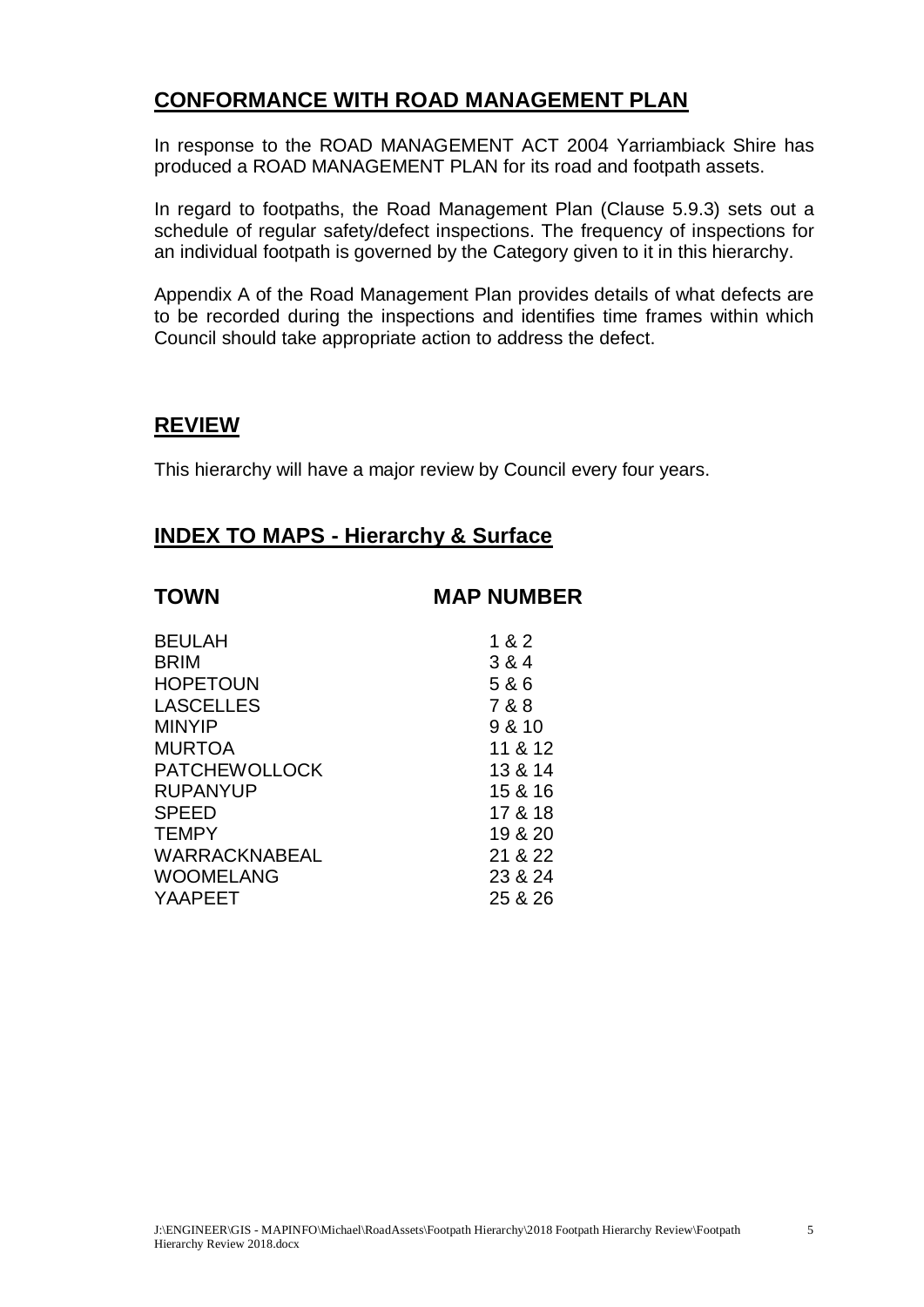# **CONFORMANCE WITH ROAD MANAGEMENT PLAN**

In response to the ROAD MANAGEMENT ACT 2004 Yarriambiack Shire has produced a ROAD MANAGEMENT PLAN for its road and footpath assets.

In regard to footpaths, the Road Management Plan (Clause 5.9.3) sets out a schedule of regular safety/defect inspections. The frequency of inspections for an individual footpath is governed by the Category given to it in this hierarchy.

Appendix A of the Road Management Plan provides details of what defects are to be recorded during the inspections and identifies time frames within which Council should take appropriate action to address the defect.

#### **REVIEW**

This hierarchy will have a major review by Council every four years.

# **INDEX TO MAPS - Hierarchy & Surface**

| <b>TOWN</b>          | <b>MAP NUMBER</b> |
|----------------------|-------------------|
| <b>BEULAH</b>        | 1 & 2             |
| <b>BRIM</b>          | 3 & 4             |
| <b>HOPETOUN</b>      | 5 & 6             |
| <b>LASCELLES</b>     | 7 & 8             |
| <b>MINYIP</b>        | 9 & 10            |
| <b>MURTOA</b>        | 11 & 12           |
| <b>PATCHEWOLLOCK</b> | 13 & 14           |
| <b>RUPANYUP</b>      | 15 & 16           |
| <b>SPEED</b>         | 17 & 18           |
| <b>TEMPY</b>         | 19 & 20           |
| <b>WARRACKNABEAL</b> | 21 & 22           |
| <b>WOOMELANG</b>     | 23 & 24           |
| YAAPEET              | 25 & 26           |
|                      |                   |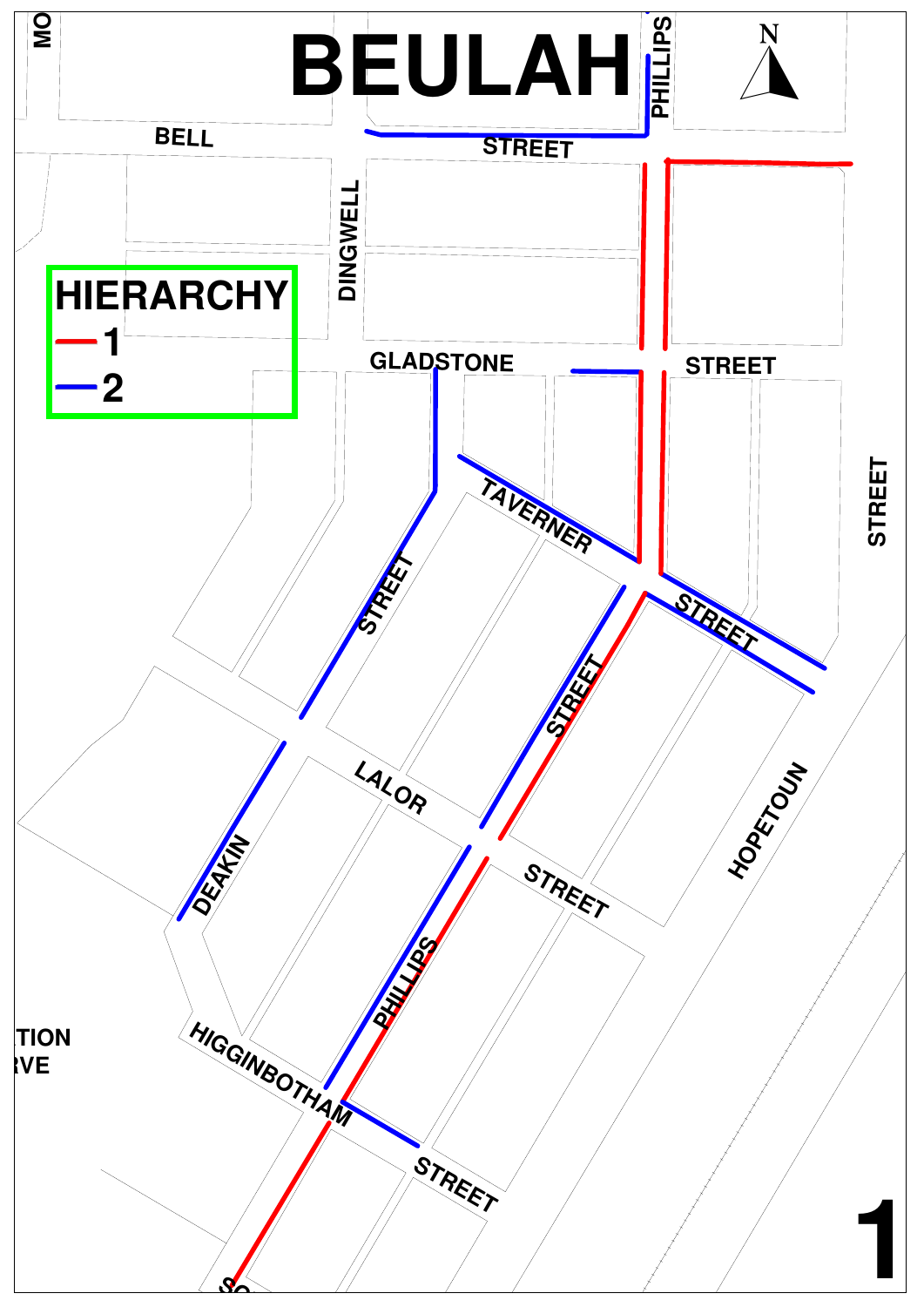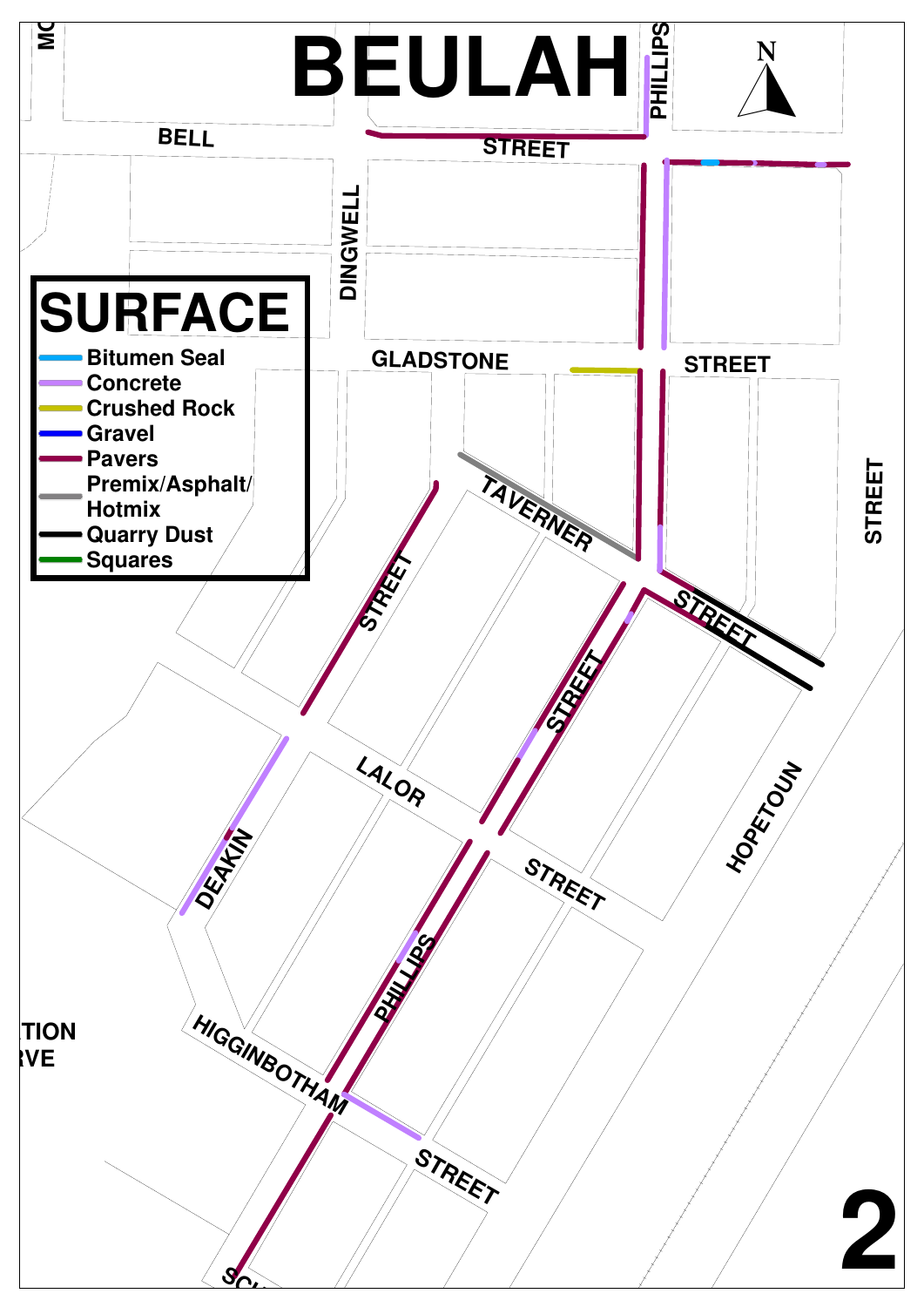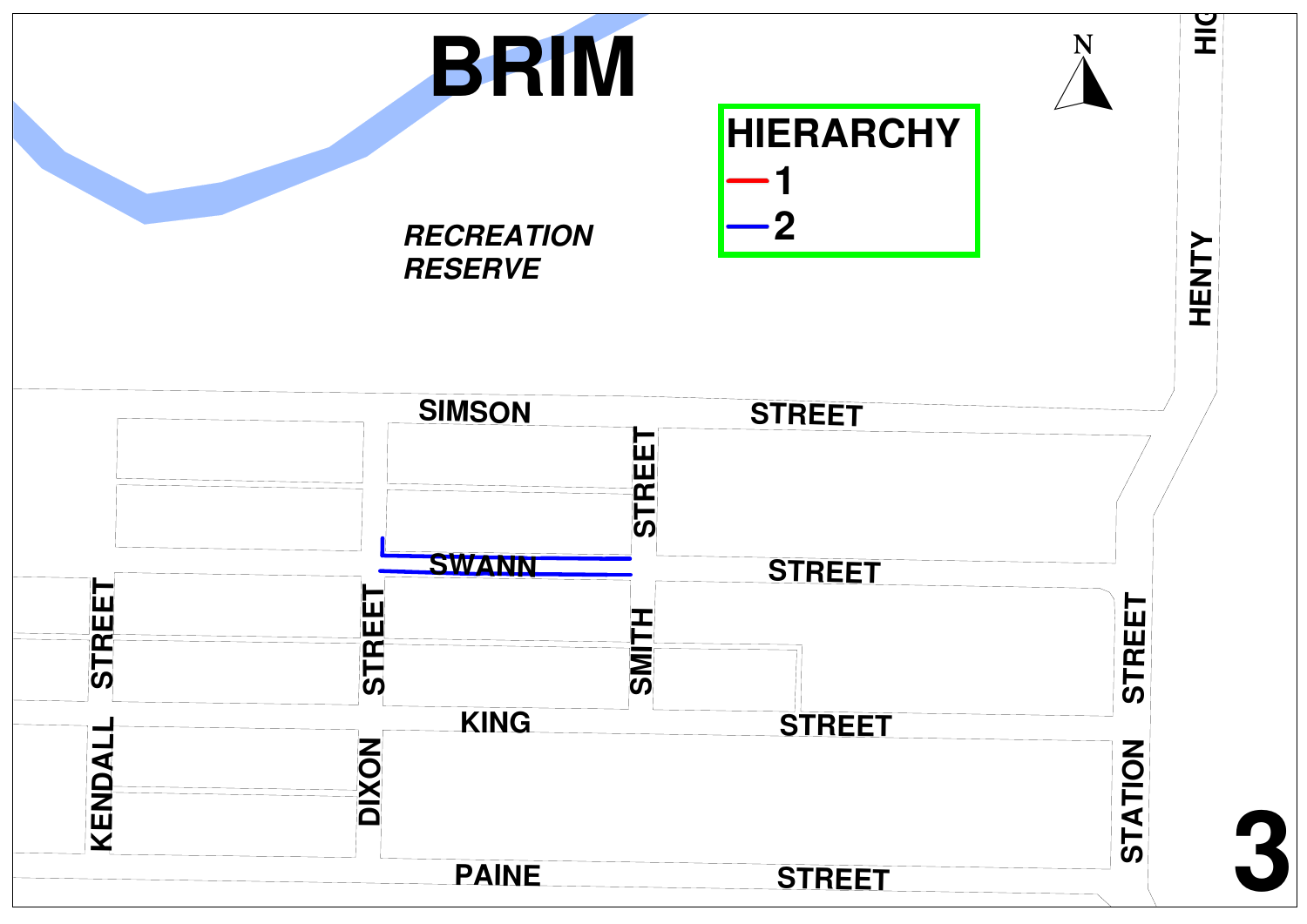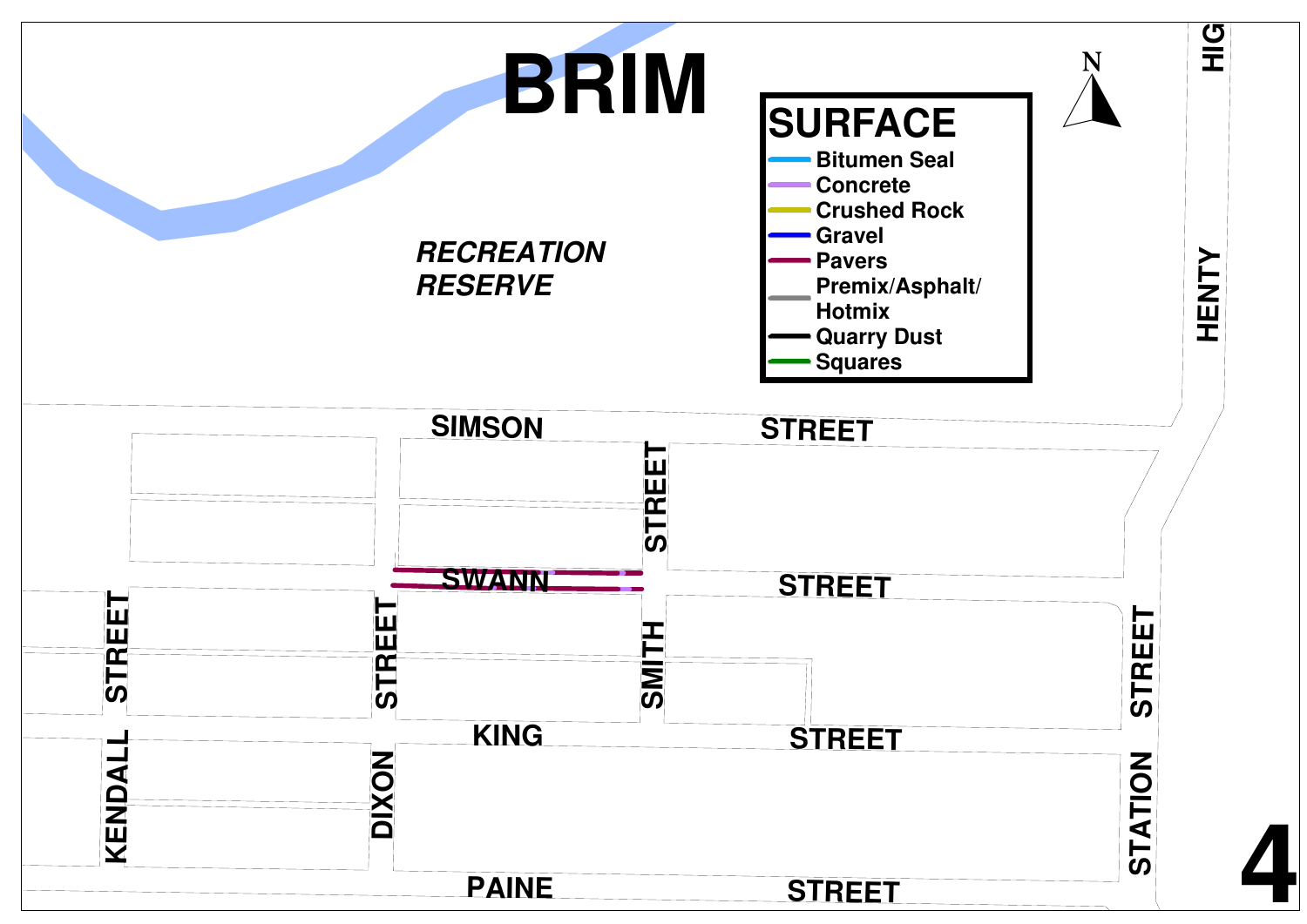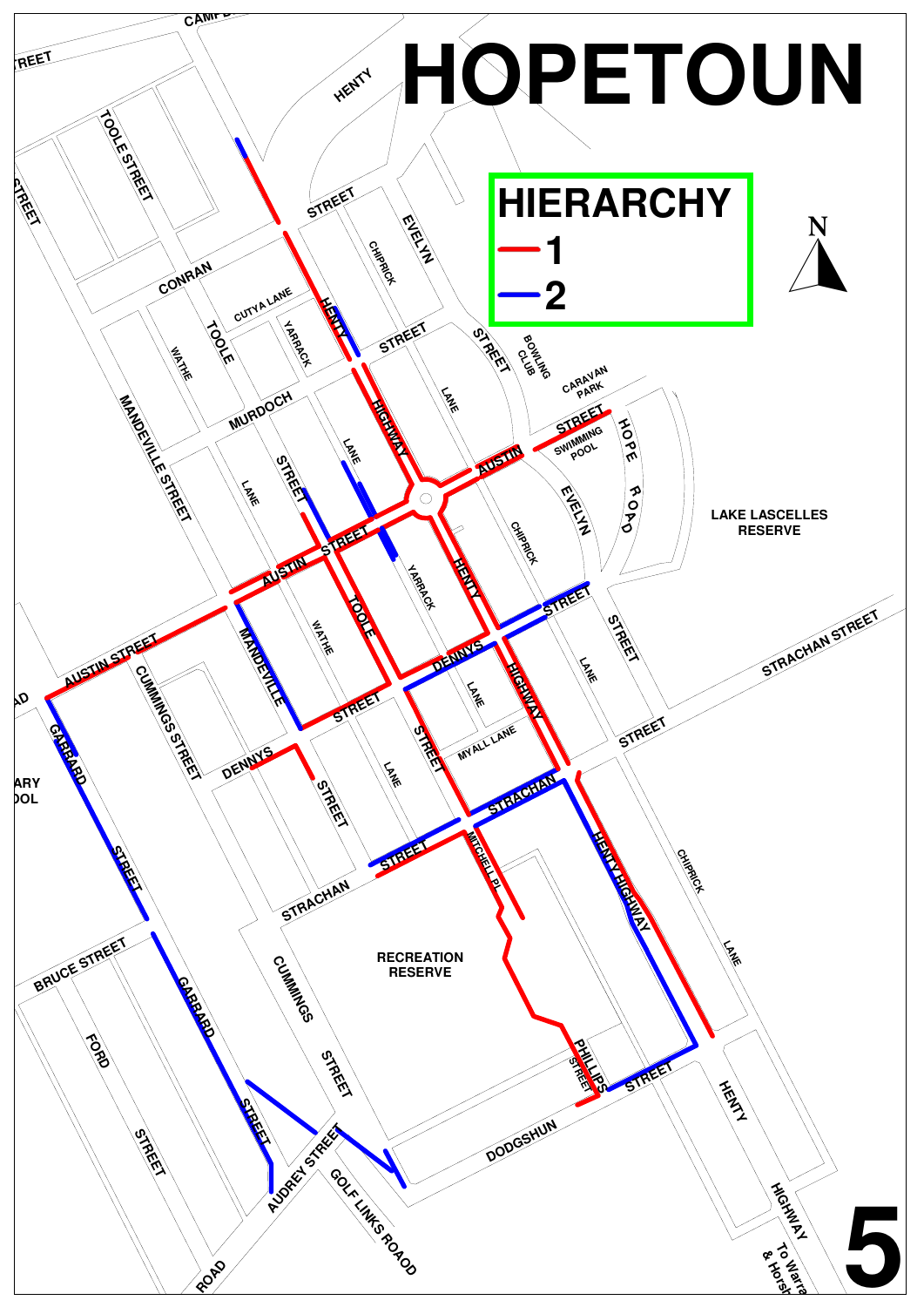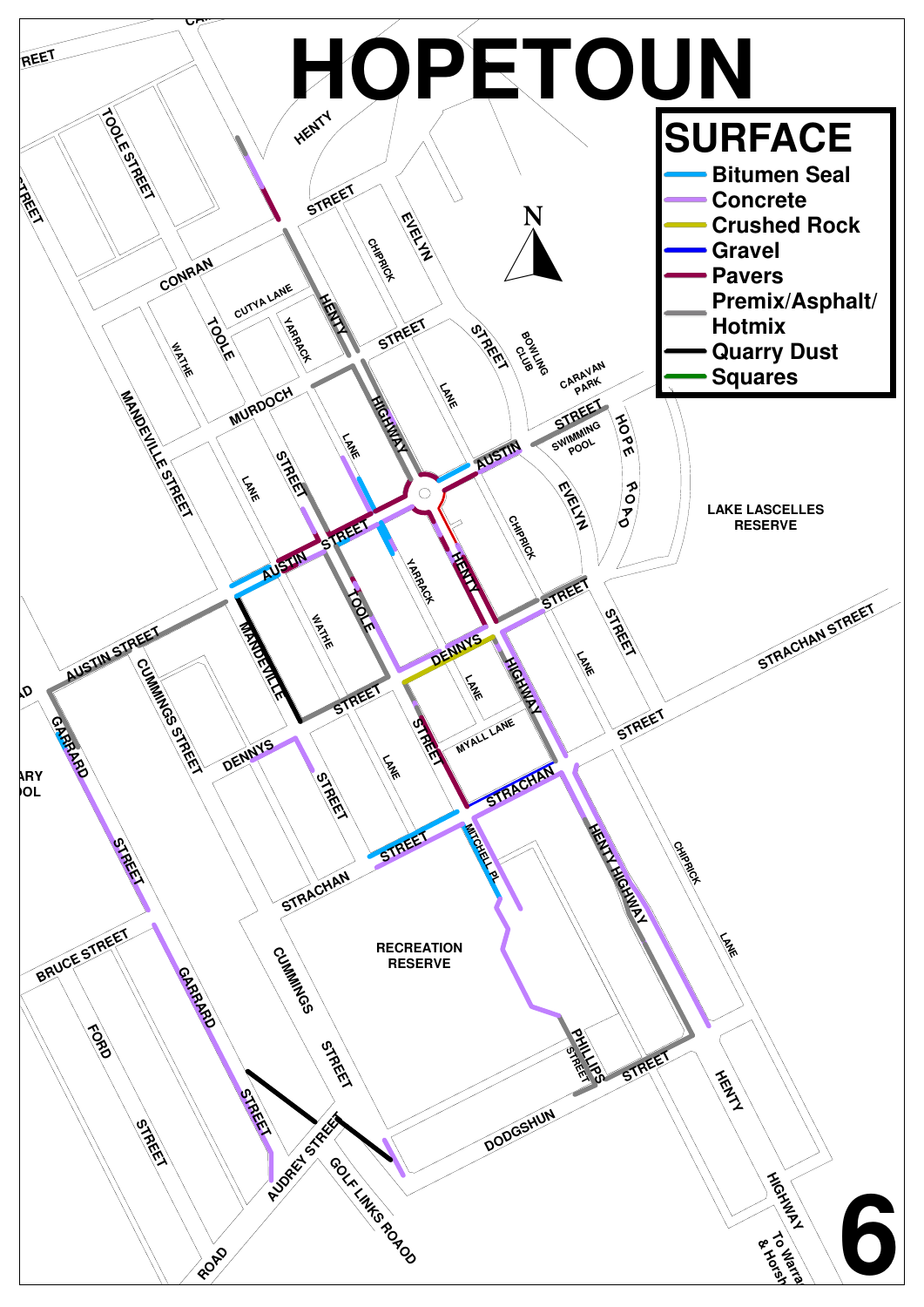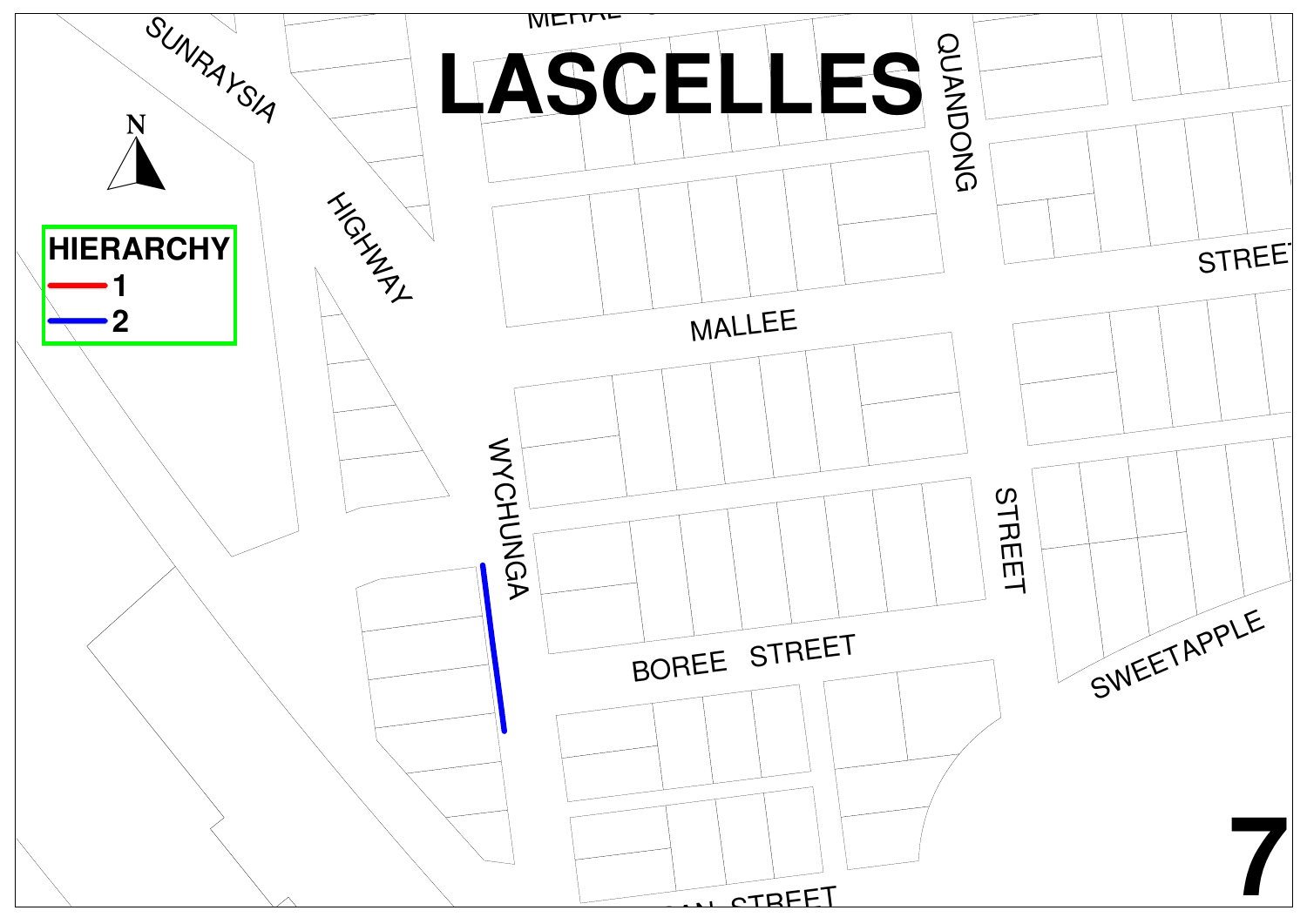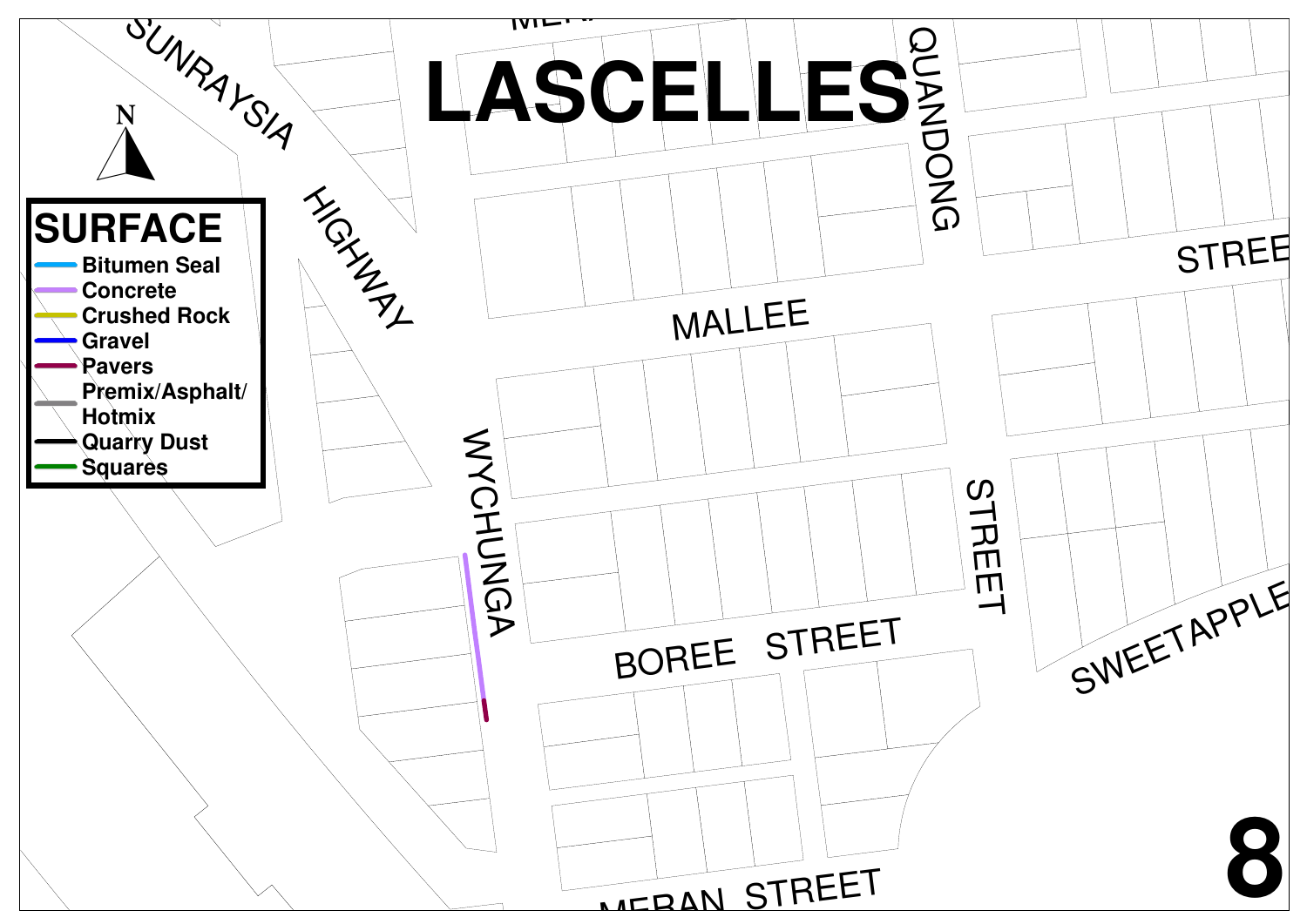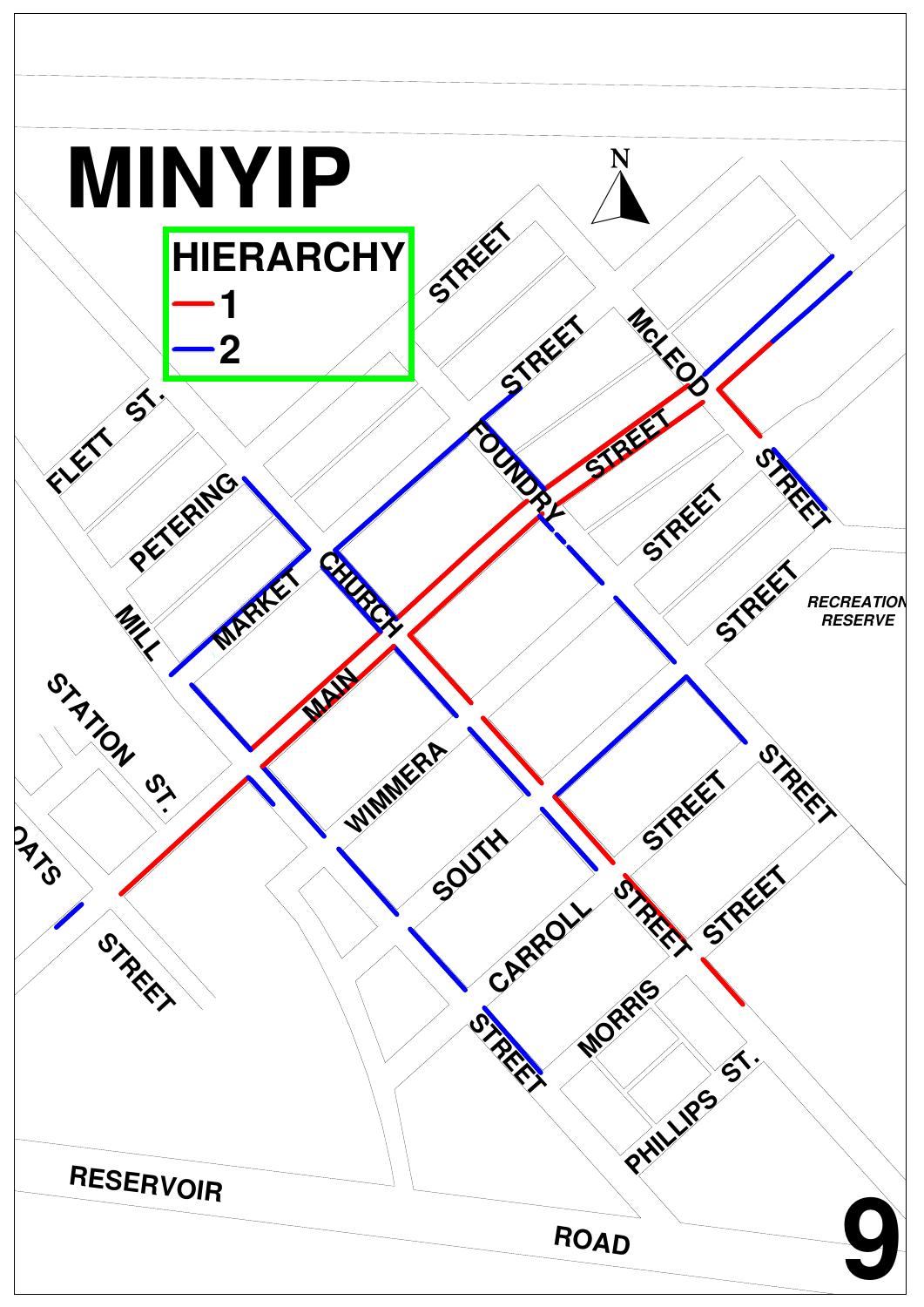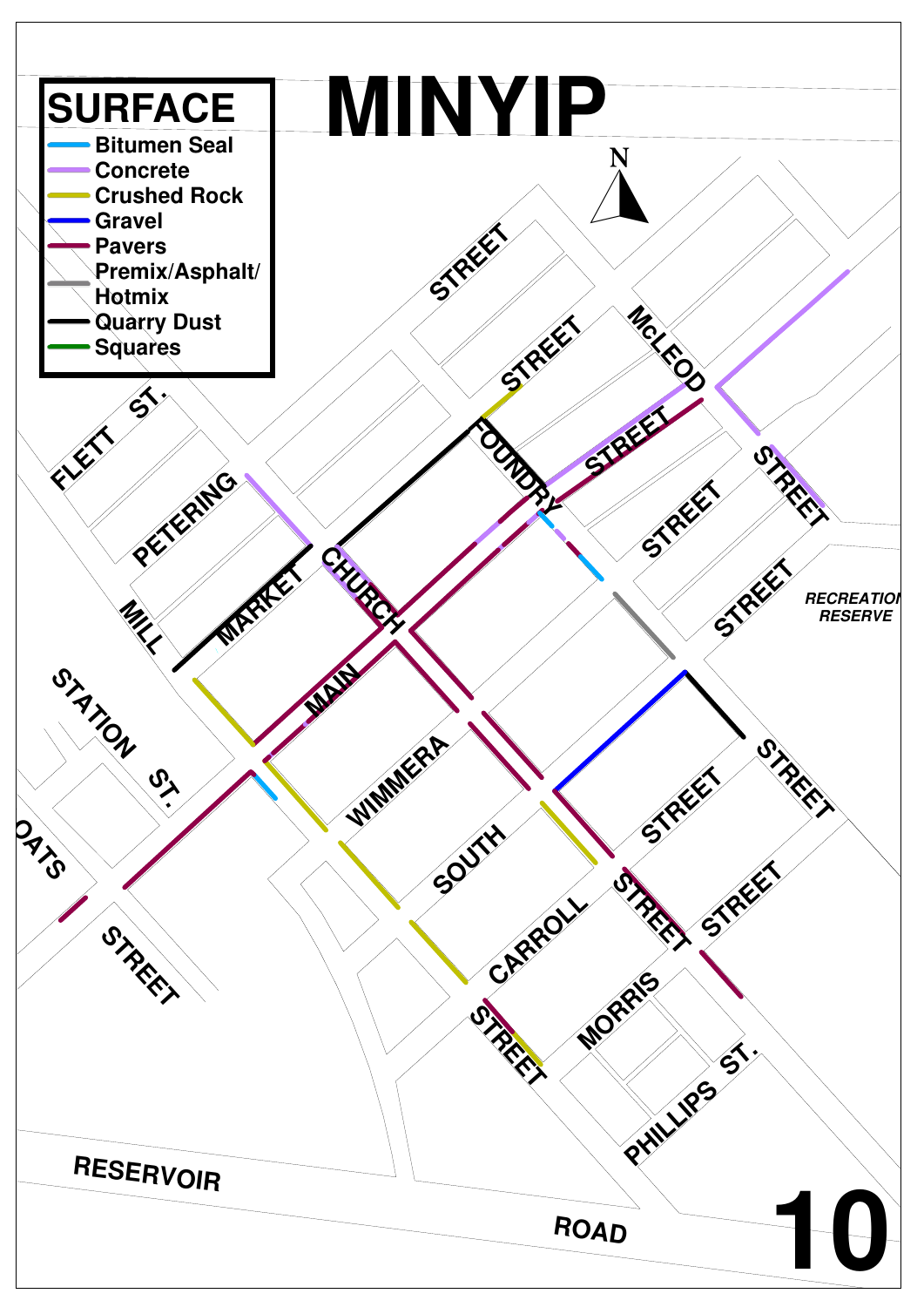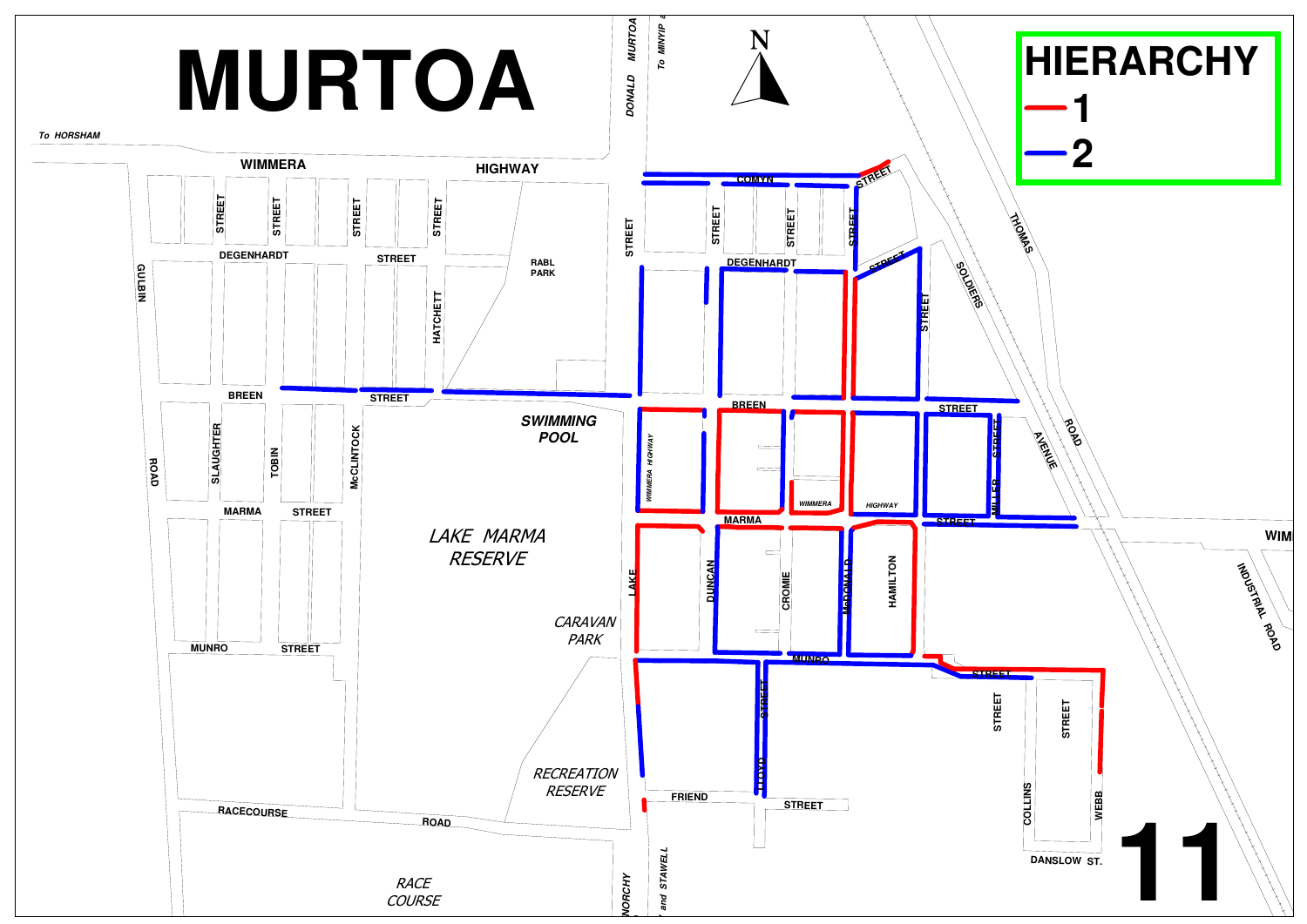![](_page_15_Figure_0.jpeg)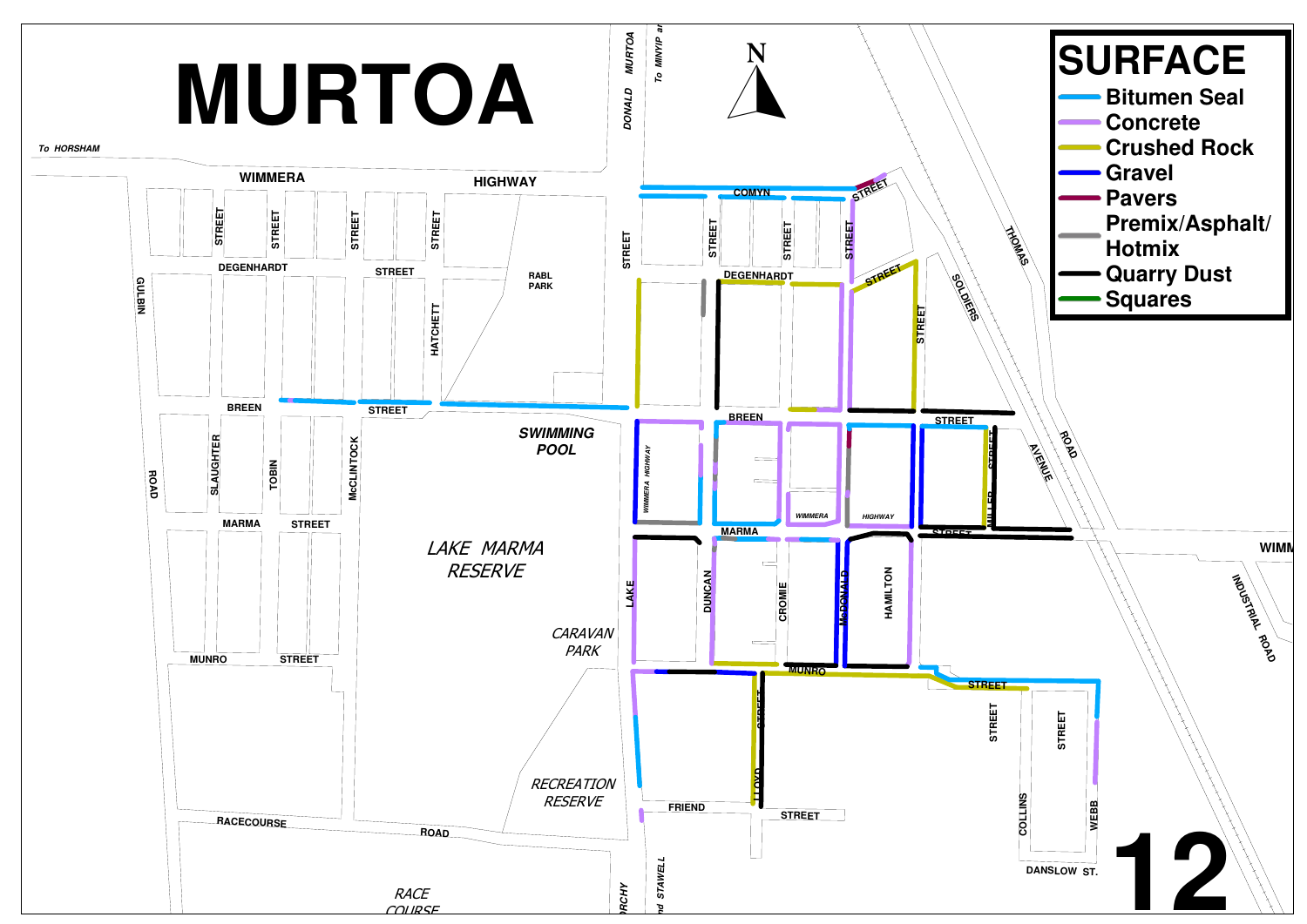![](_page_16_Figure_0.jpeg)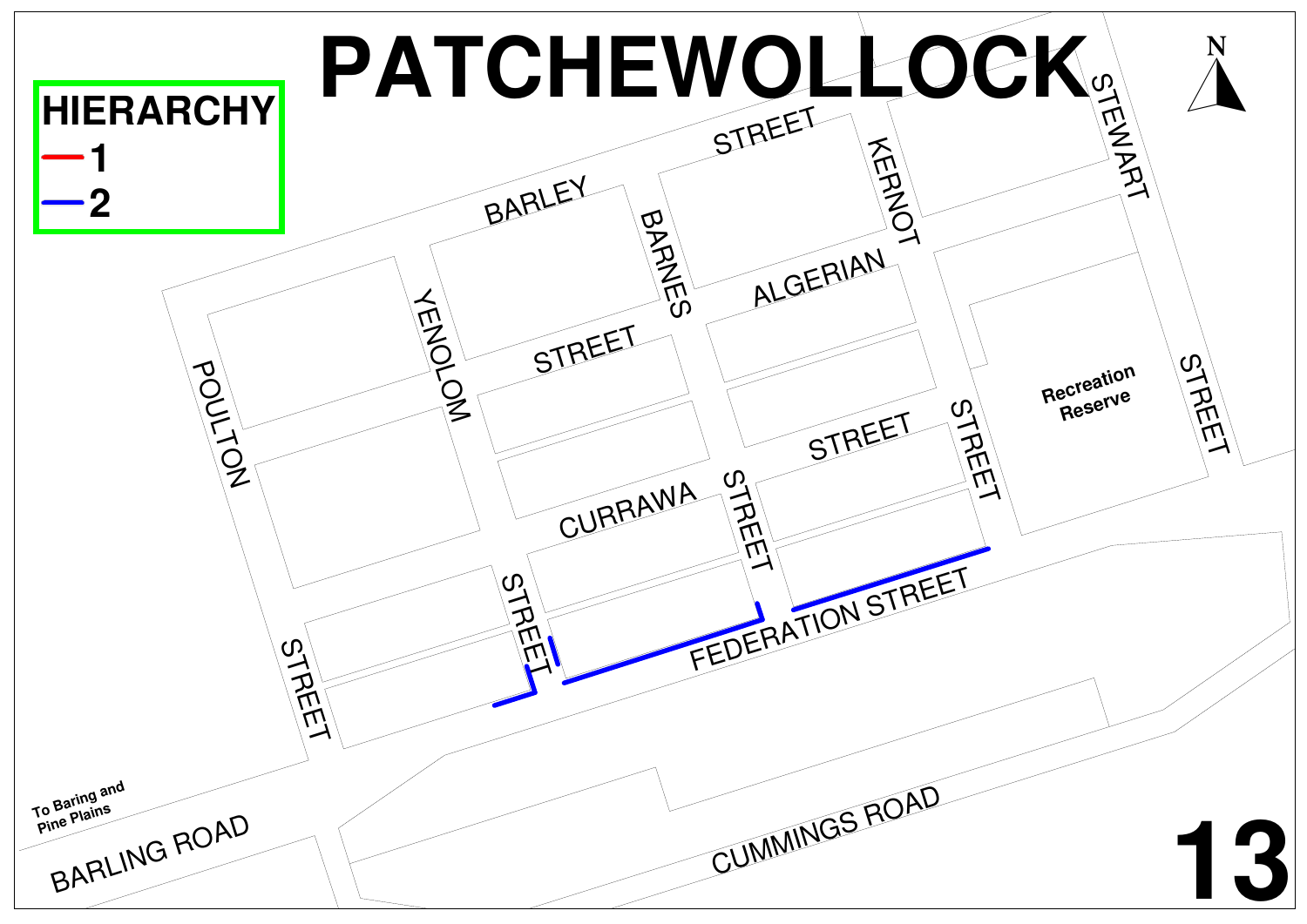![](_page_17_Figure_0.jpeg)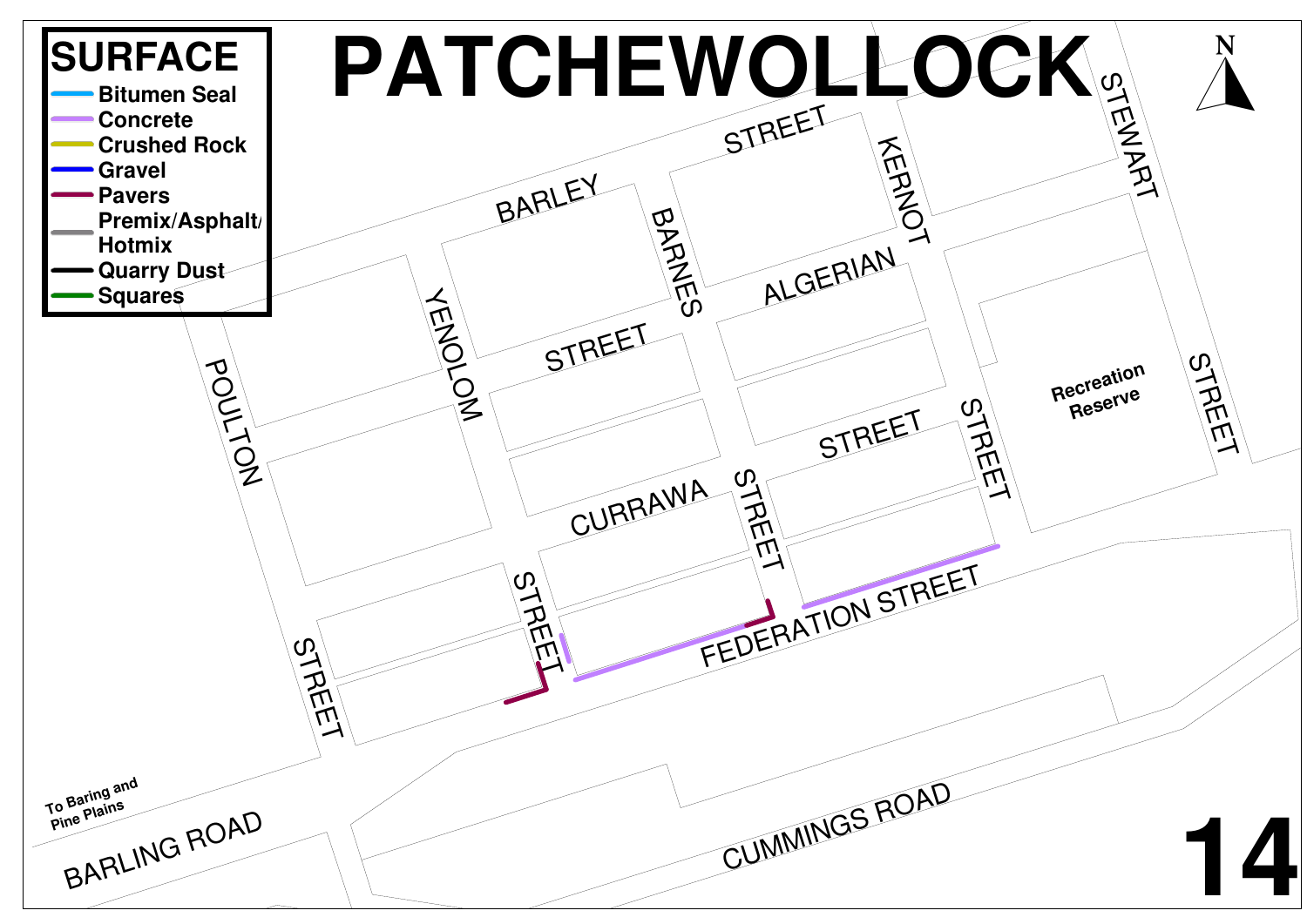![](_page_18_Figure_0.jpeg)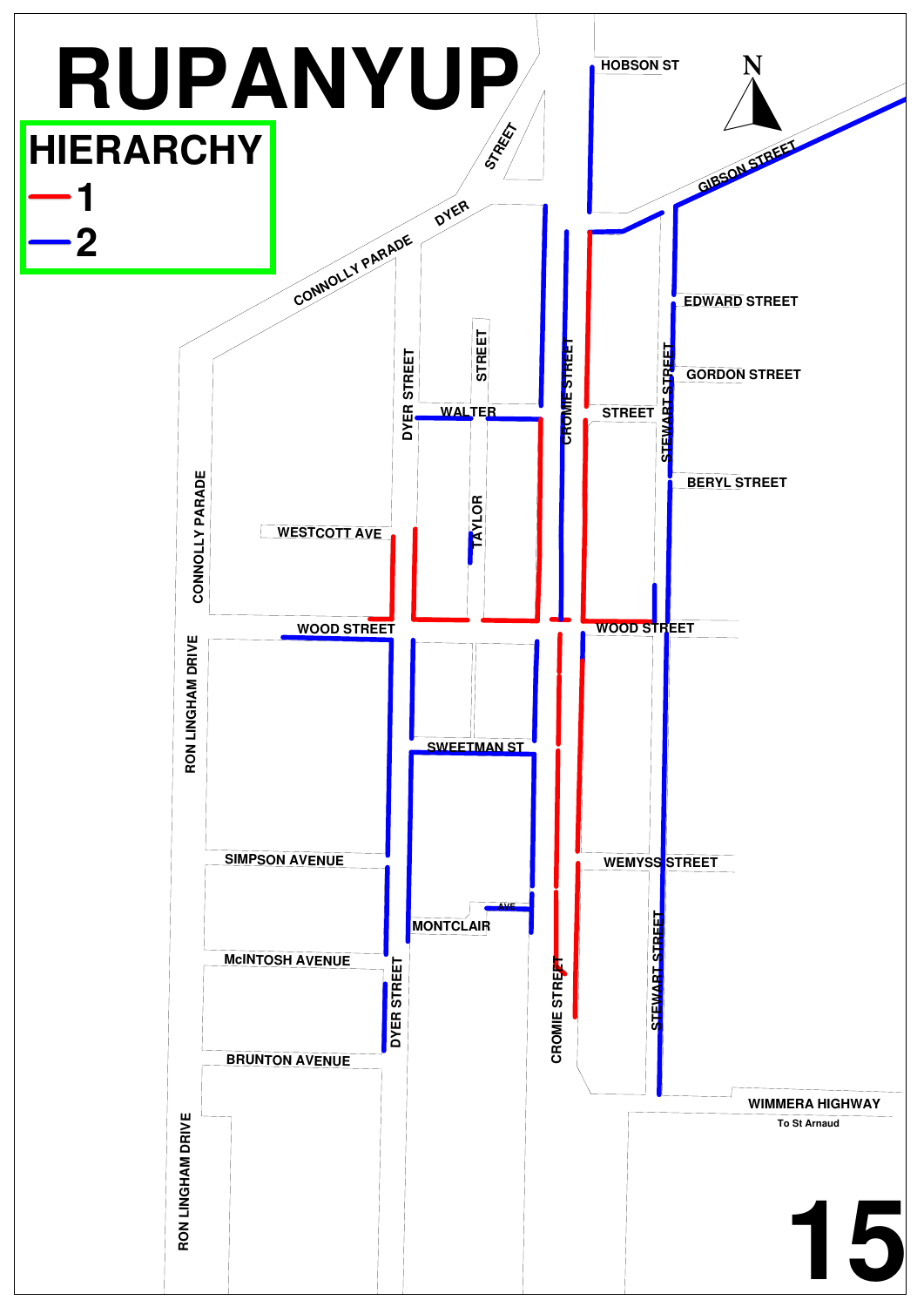![](_page_19_Figure_0.jpeg)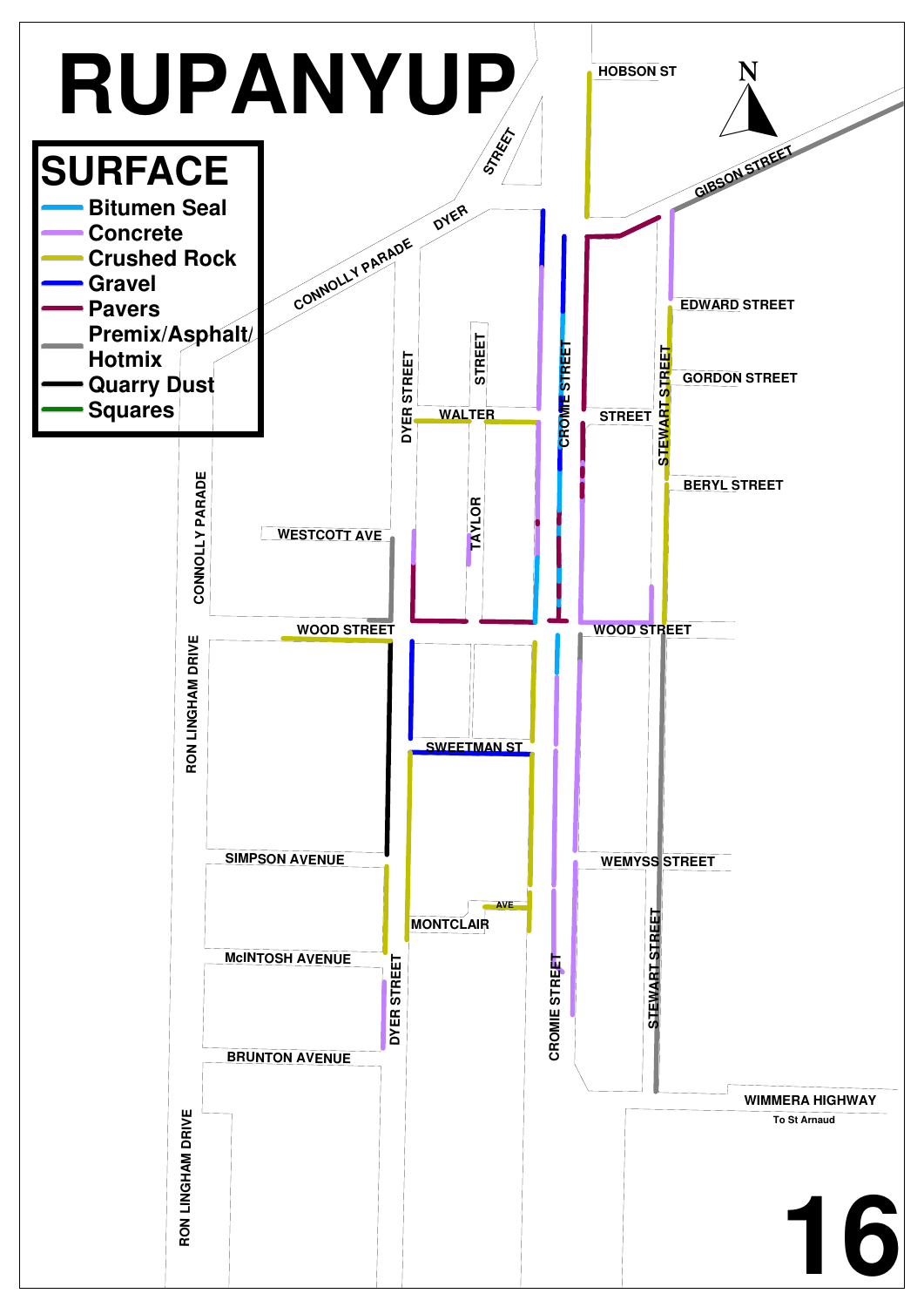![](_page_20_Figure_0.jpeg)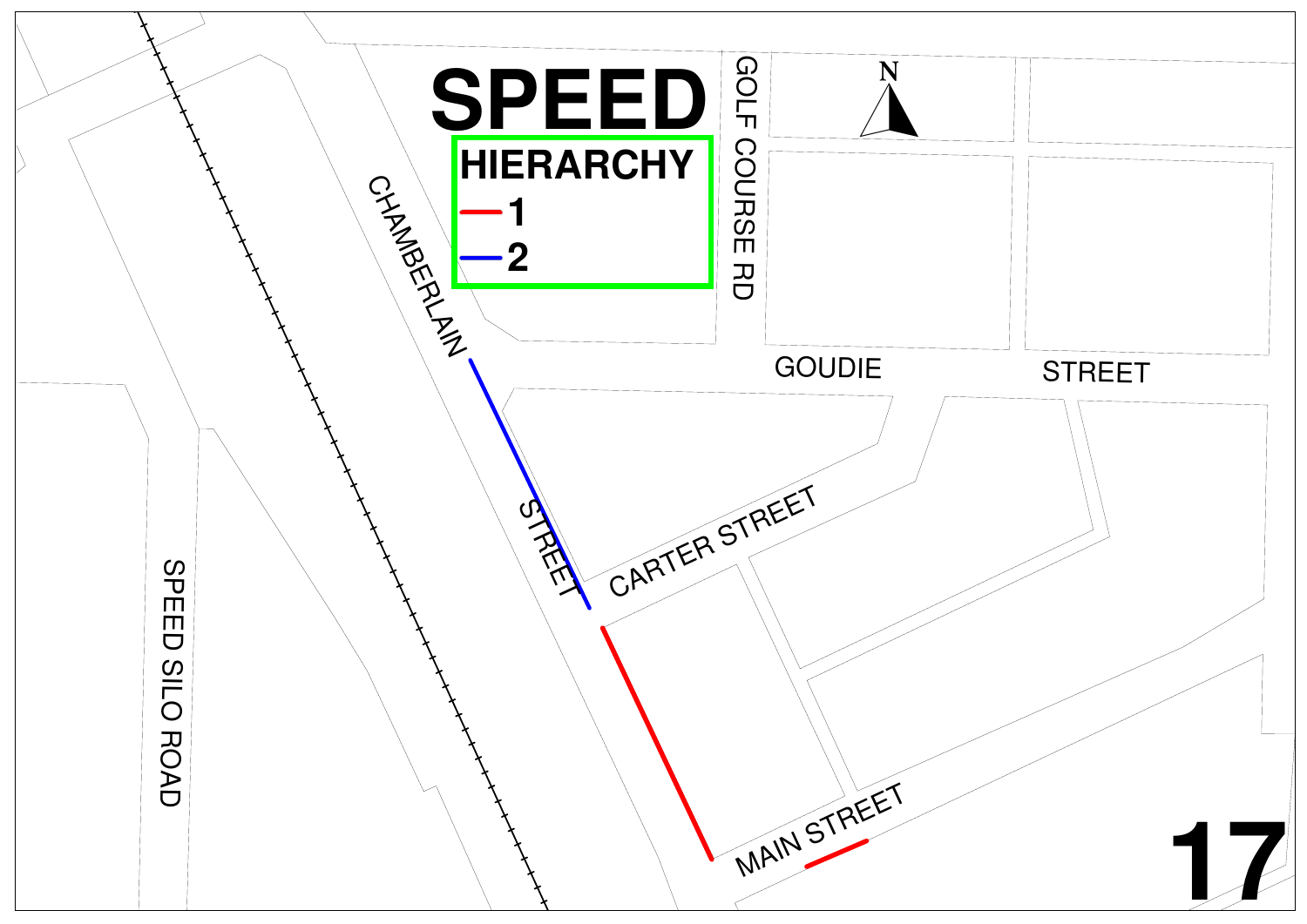![](_page_21_Figure_0.jpeg)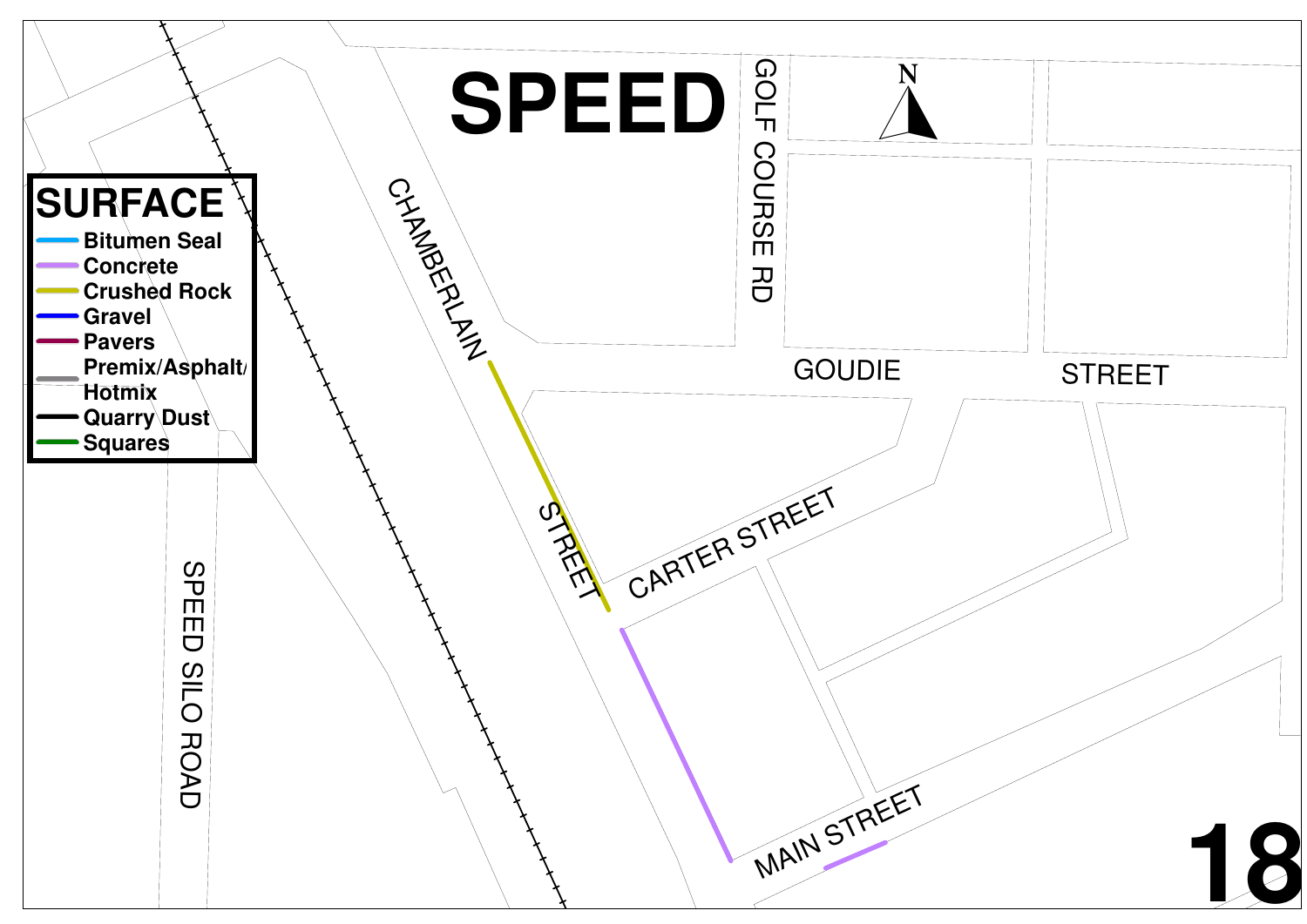![](_page_22_Figure_0.jpeg)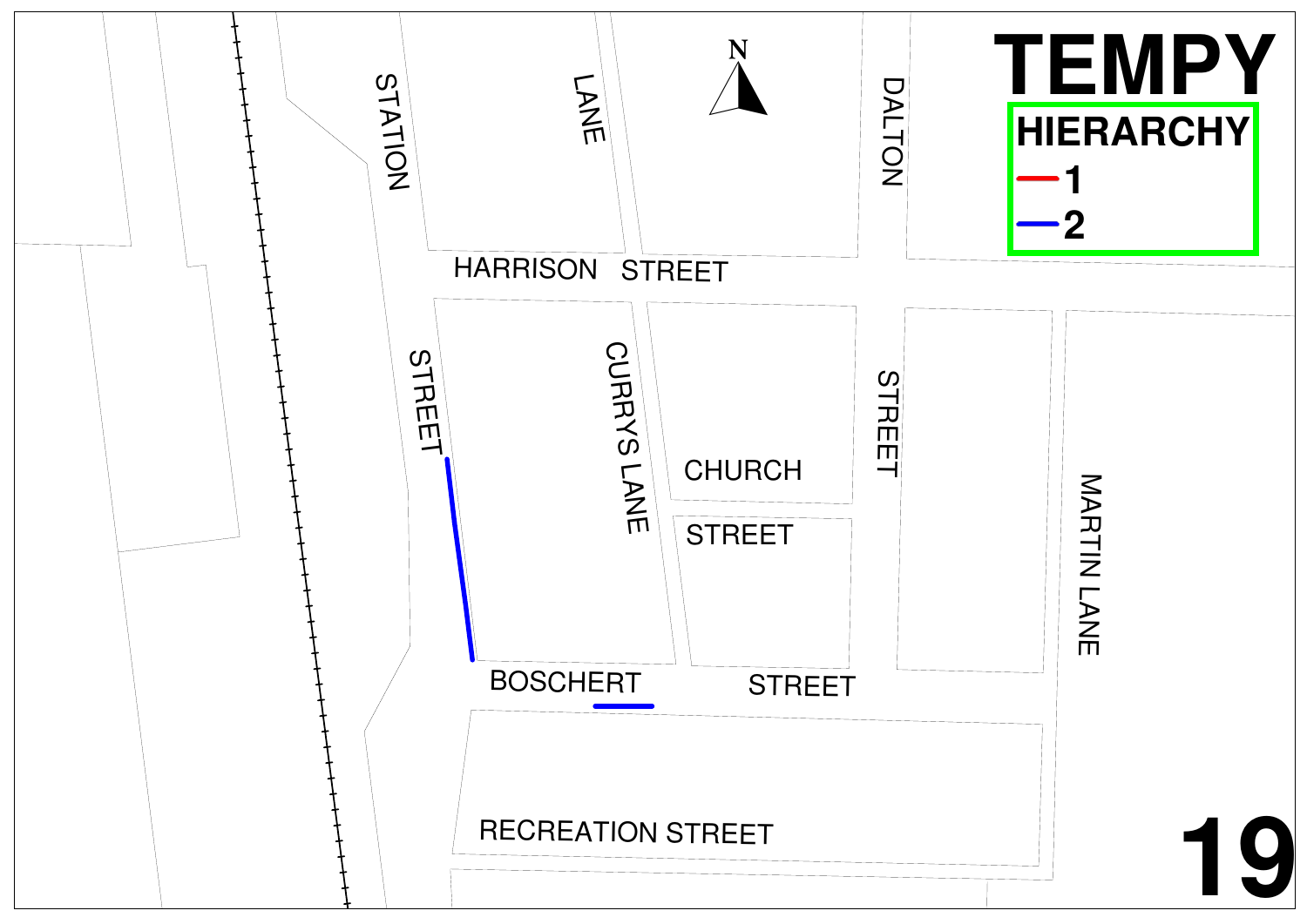![](_page_23_Figure_0.jpeg)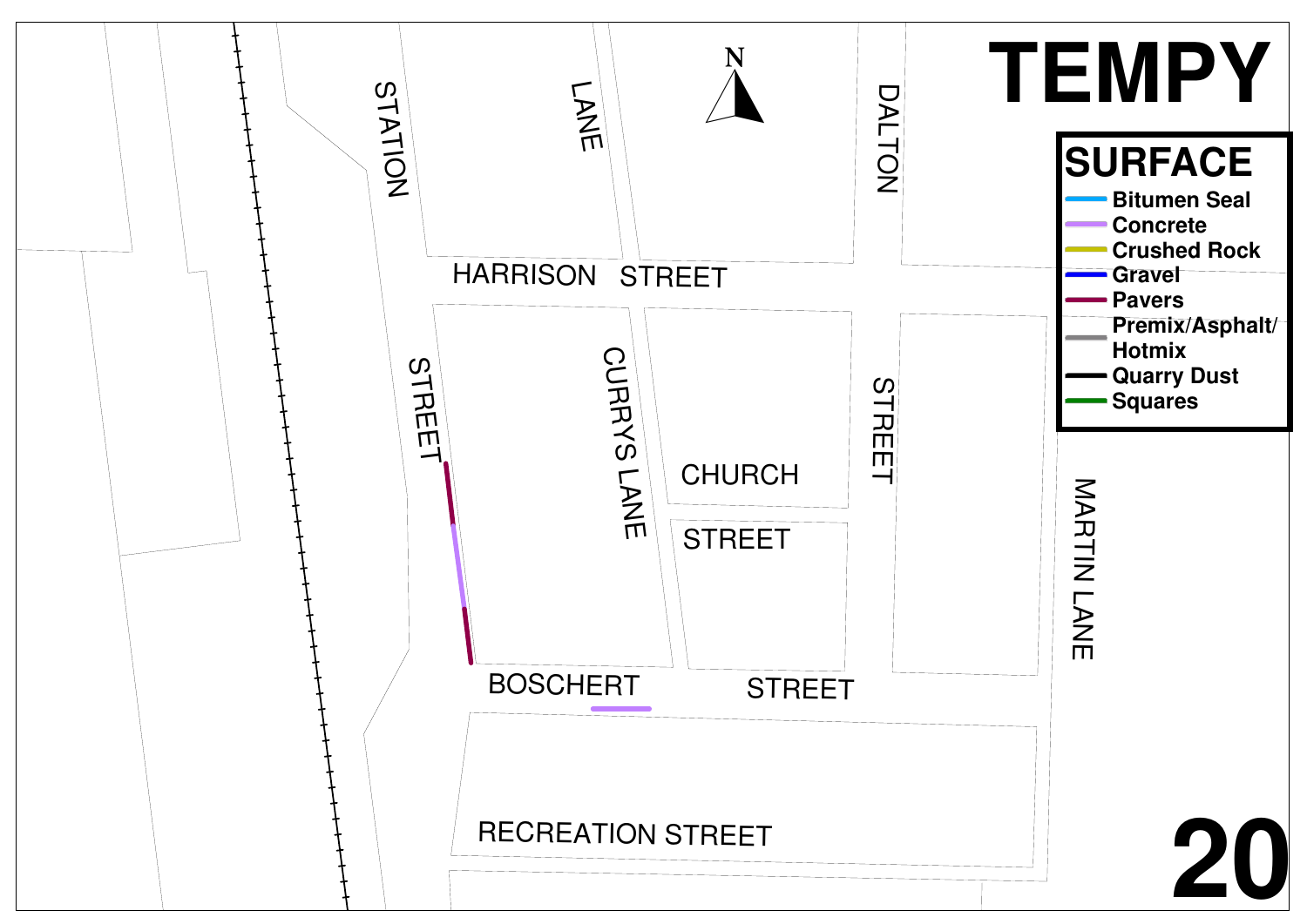![](_page_24_Figure_0.jpeg)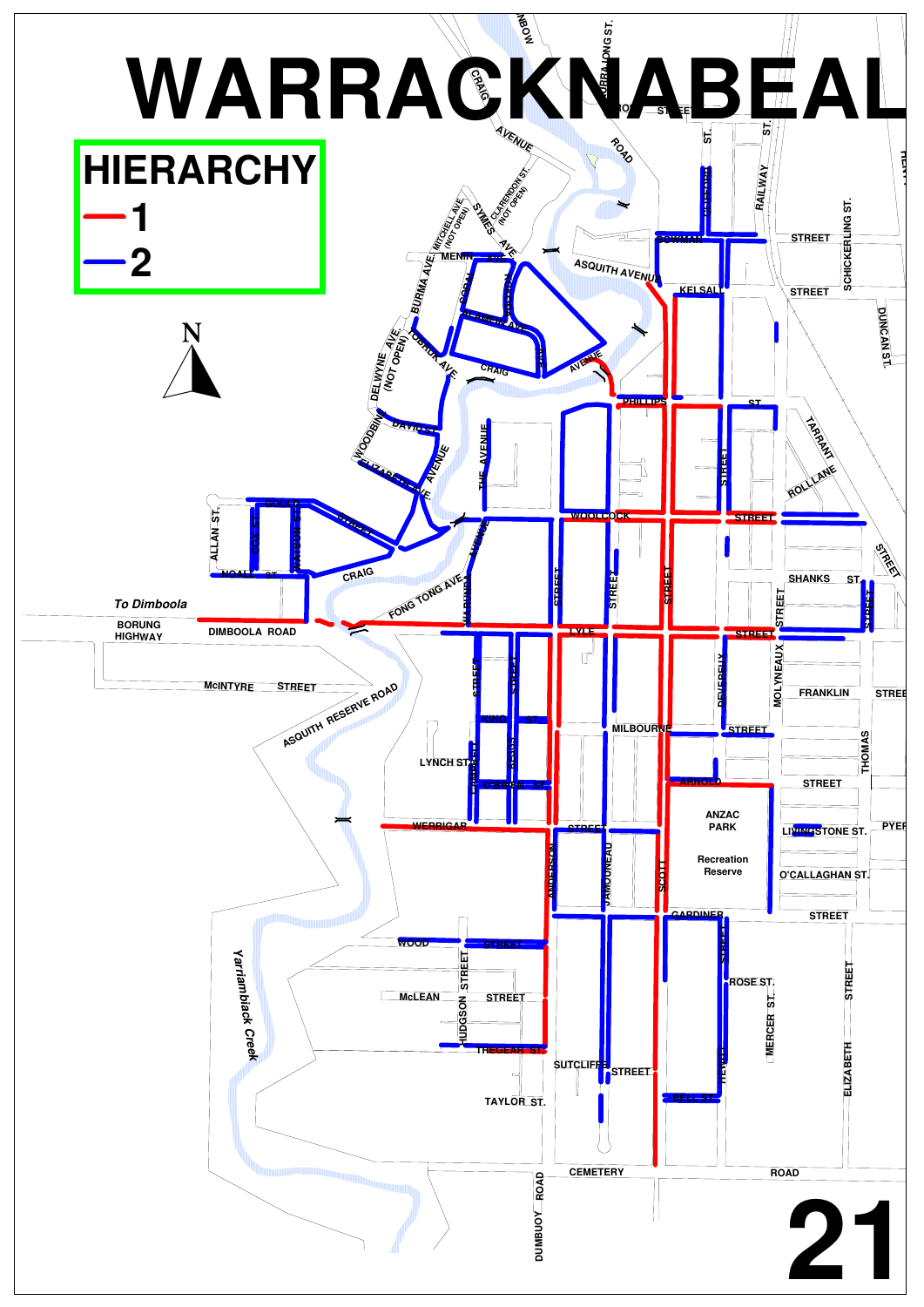![](_page_25_Figure_0.jpeg)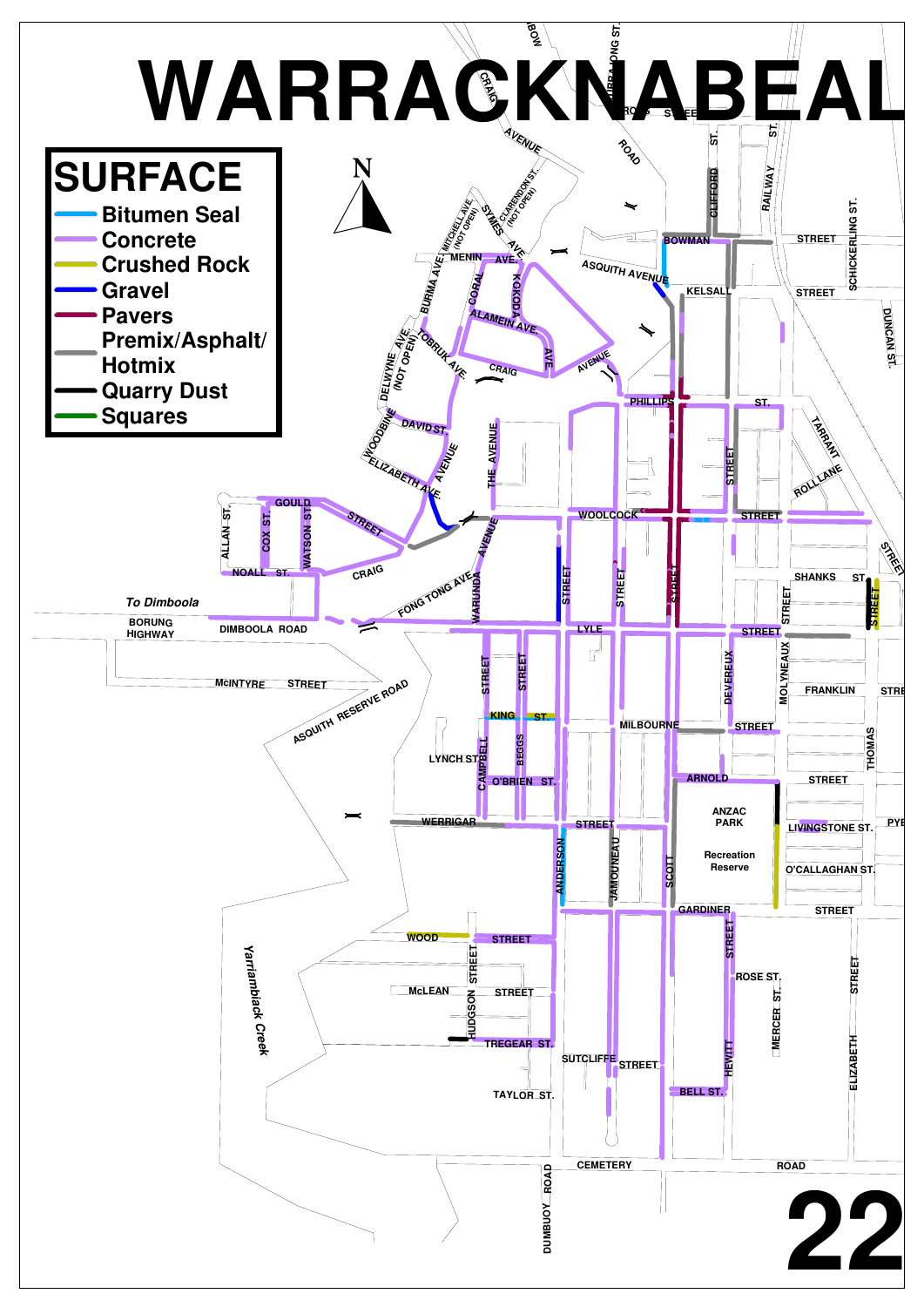![](_page_26_Figure_0.jpeg)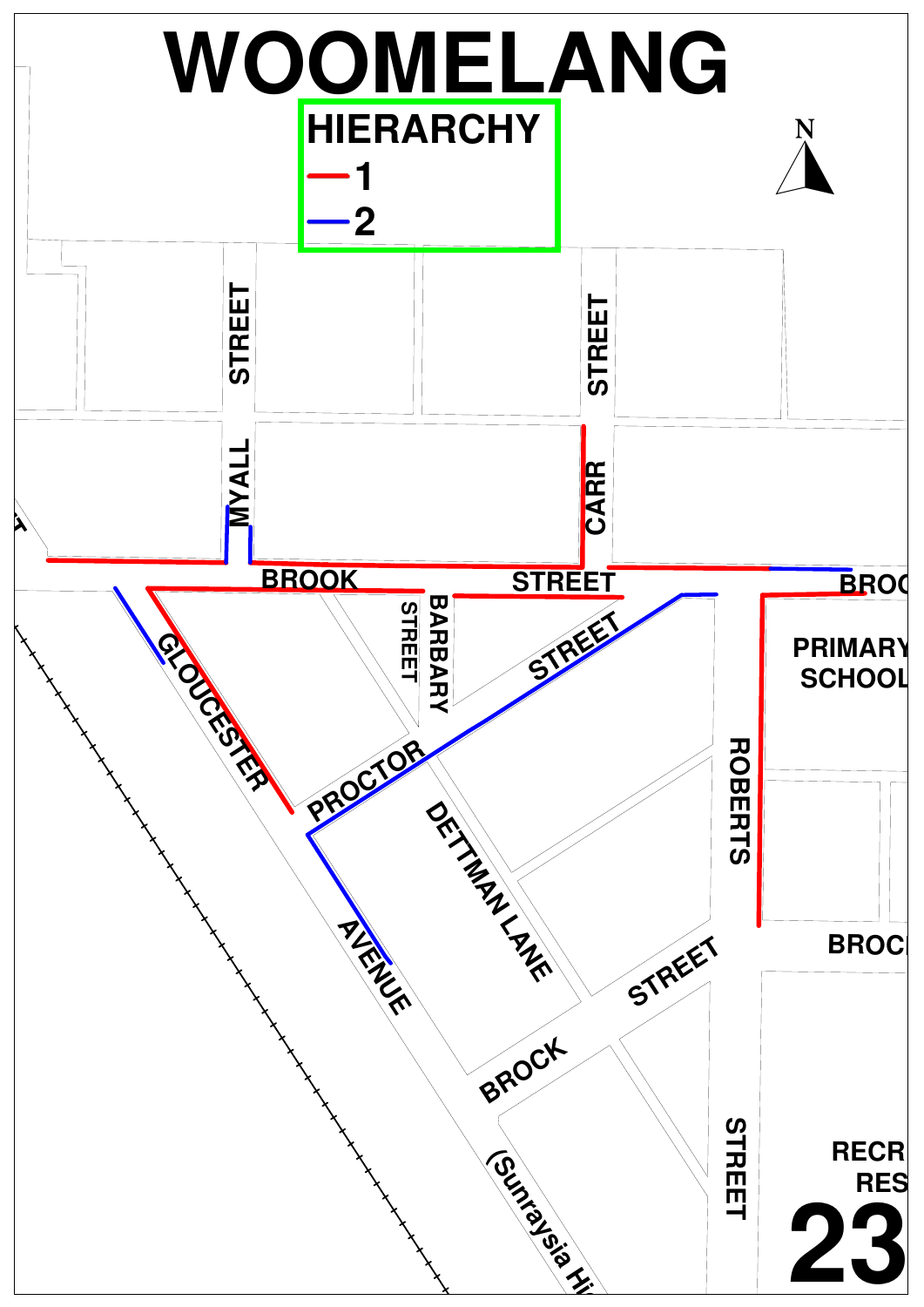![](_page_27_Figure_0.jpeg)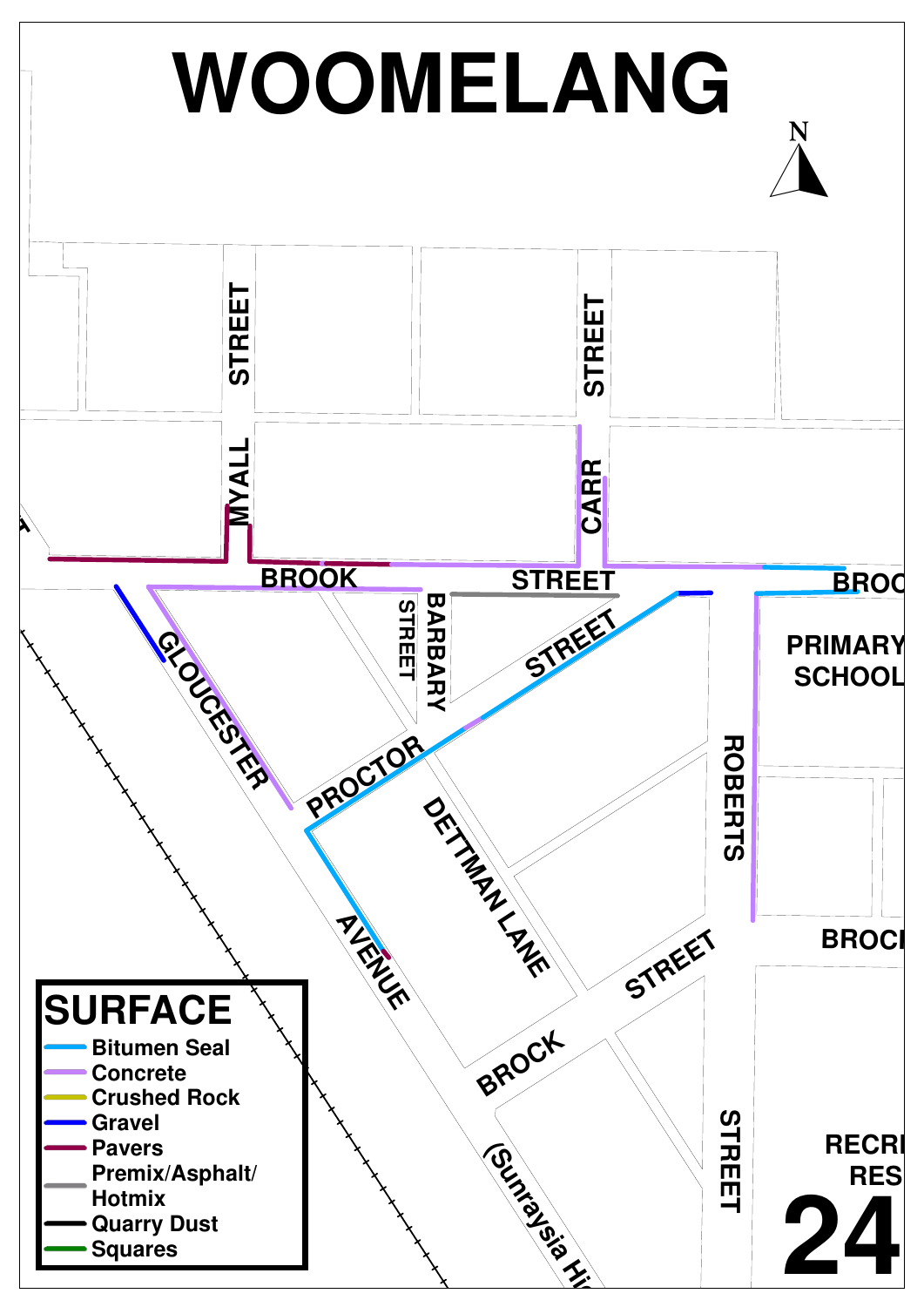![](_page_28_Figure_0.jpeg)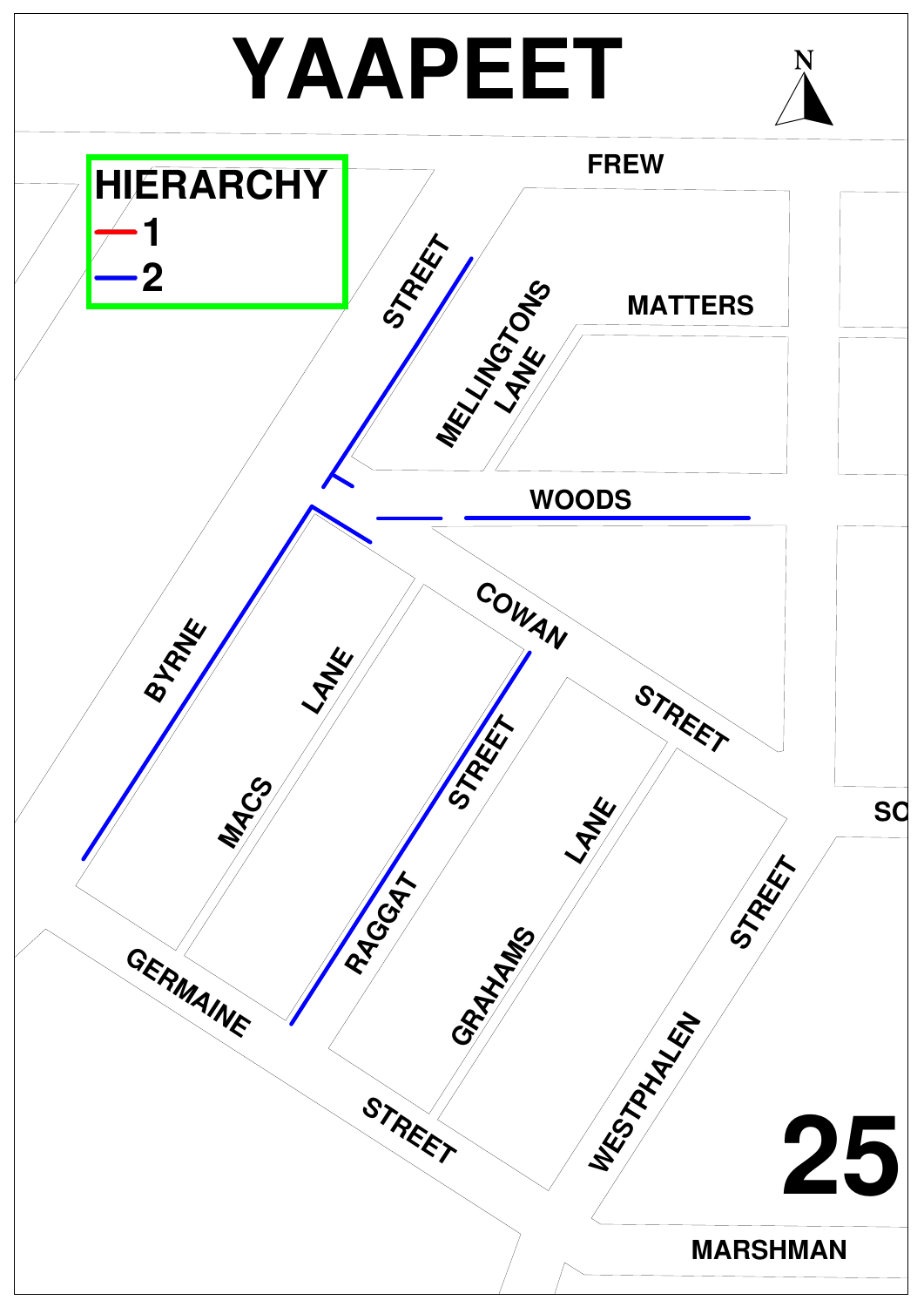![](_page_29_Figure_0.jpeg)